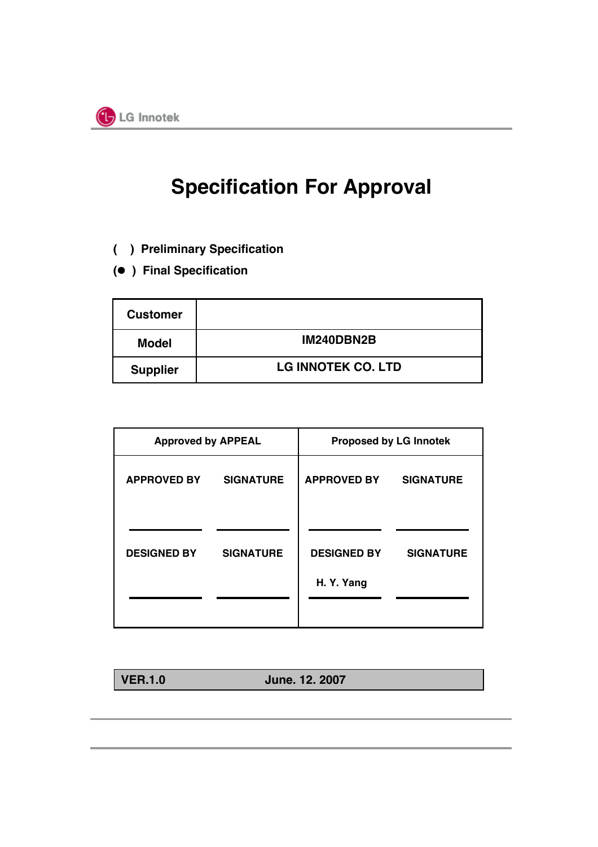

## **Specification For Approval**

- **( ) Preliminary Specification**
- **( ) Final Specification**

| <b>Customer</b> |                           |
|-----------------|---------------------------|
| <b>Model</b>    | IM240DBN2B                |
| <b>Supplier</b> | <b>LG INNOTEK CO. LTD</b> |

| <b>Approved by APPEAL</b> |                  | <b>Proposed by LG Innotek</b>    |                  |  |  |  |  |  |  |
|---------------------------|------------------|----------------------------------|------------------|--|--|--|--|--|--|
| <b>APPROVED BY</b>        | <b>SIGNATURE</b> | <b>APPROVED BY</b>               | <b>SIGNATURE</b> |  |  |  |  |  |  |
| <b>DESIGNED BY</b>        | <b>SIGNATURE</b> | <b>DESIGNED BY</b><br>H. Y. Yang | <b>SIGNATURE</b> |  |  |  |  |  |  |
|                           |                  |                                  |                  |  |  |  |  |  |  |

**VER.1.0 June. 12. 2007**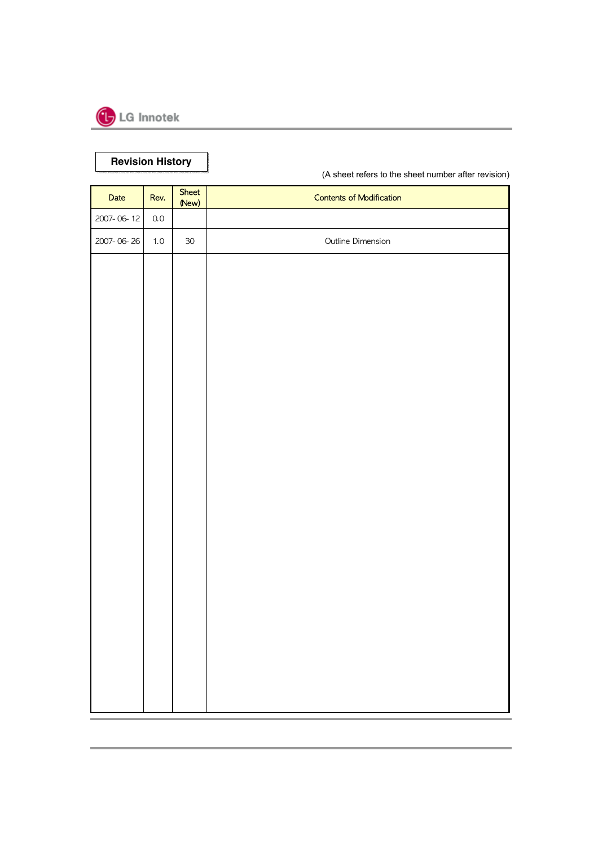

**Revision History Revision History**

(A sheet refers to the sheet number after revision)

| Date       | Rev.    | Sheet<br>(New) | <b>Contents of Modification</b> |
|------------|---------|----------------|---------------------------------|
| 2007-06-12 | $0.0\,$ |                |                                 |
| 2007-06-26 | $1.0\,$ | $30\,$         | Outline Dimension               |
|            |         |                |                                 |
|            |         |                |                                 |
|            |         |                |                                 |
|            |         |                |                                 |
|            |         |                |                                 |
|            |         |                |                                 |
|            |         |                |                                 |
|            |         |                |                                 |
|            |         |                |                                 |
|            |         |                |                                 |
|            |         |                |                                 |
|            |         |                |                                 |
|            |         |                |                                 |
|            |         |                |                                 |
|            |         |                |                                 |
|            |         |                |                                 |
|            |         |                |                                 |
|            |         |                |                                 |
|            |         |                |                                 |
|            |         |                |                                 |
|            |         |                |                                 |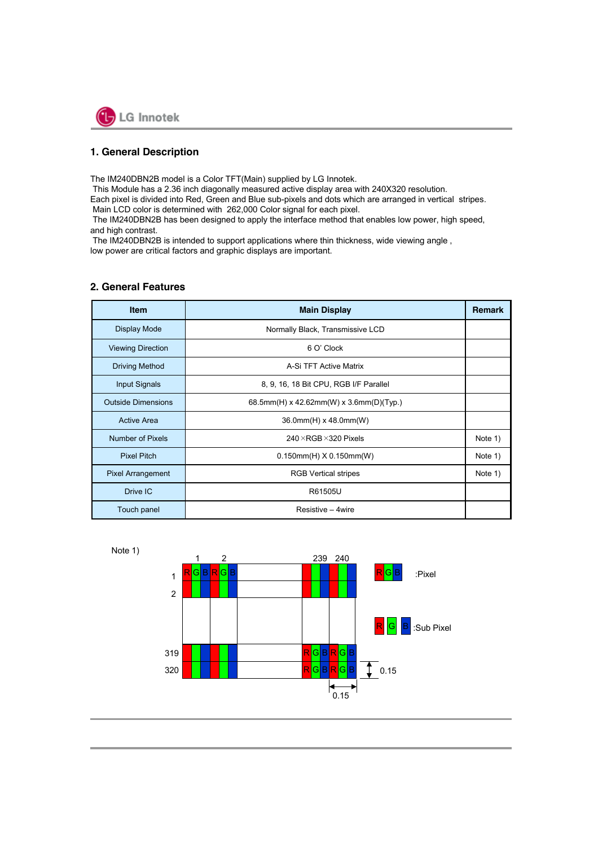

## **1. General Description**

The IM240DBN2B model is a Color TFT(Main) supplied by LG Innotek.

This Module has a 2.36 inch diagonally measured active display area with 240X320 resolution.

Each pixel is divided into Red, Green and Blue sub-pixels and dots which are arranged in vertical stripes. Main LCD color is determined with 262,000 Color signal for each pixel.

The IM240DBN2B has been designed to apply the interface method that enables low power, high speed, and high contrast.

The IM240DBN2B is intended to support applications where thin thickness, wide viewing angle ,

low power are critical factors and graphic displays are important.

| <b>Item</b>               | <b>Main Display</b>                     | <b>Remark</b> |  |  |  |  |  |  |
|---------------------------|-----------------------------------------|---------------|--|--|--|--|--|--|
| <b>Display Mode</b>       | Normally Black, Transmissive LCD        |               |  |  |  |  |  |  |
| <b>Viewing Direction</b>  | 6 O' Clock                              |               |  |  |  |  |  |  |
| <b>Driving Method</b>     | A-Si TFT Active Matrix                  |               |  |  |  |  |  |  |
| <b>Input Signals</b>      | 8, 9, 16, 18 Bit CPU, RGB I/F Parallel  |               |  |  |  |  |  |  |
| <b>Outside Dimensions</b> | 68.5mm(H) x 42.62mm(W) x 3.6mm(D)(Typ.) |               |  |  |  |  |  |  |
| <b>Active Area</b>        | 36.0mm(H) x 48.0mm(W)                   |               |  |  |  |  |  |  |
| Number of Pixels          | $240 \times$ RGB $\times$ 320 Pixels    | Note 1)       |  |  |  |  |  |  |
| <b>Pixel Pitch</b>        | $0.150$ mm $(H)$ X 0.150mm $(W)$        | Note 1)       |  |  |  |  |  |  |
| <b>Pixel Arrangement</b>  | <b>RGB Vertical stripes</b>             | Note 1)       |  |  |  |  |  |  |
| Drive IC                  | R61505U                                 |               |  |  |  |  |  |  |
| Touch panel               | Resistive - 4wire                       |               |  |  |  |  |  |  |

### **2. General Features**



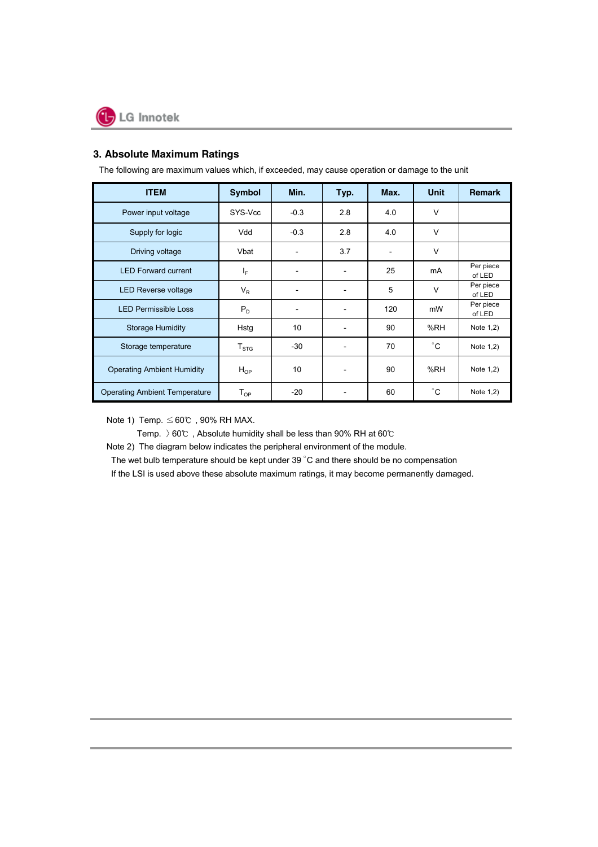## **3. Absolute Maximum Ratings**

| <b>ITEM</b>                          | <b>Symbol</b>              | Min.            | Typ. | Max. | <b>Unit</b>  | <b>Remark</b>       |
|--------------------------------------|----------------------------|-----------------|------|------|--------------|---------------------|
| Power input voltage                  | SYS-Vcc                    | $-0.3$          | 2.8  | 4.0  | V            |                     |
| Supply for logic                     | Vdd                        | $-0.3$          | 2.8  | 4.0  | V            |                     |
| Driving voltage                      | Vbat                       |                 | 3.7  |      | V            |                     |
| <b>LED Forward current</b>           | $I_F$                      | -               | -    | 25   | mA           | Per piece<br>of LED |
| <b>LED Reverse voltage</b>           | $V_{R}$                    | -               |      | 5    | V            | Per piece<br>of LED |
| <b>LED Permissible Loss</b>          | $P_D$                      | ٠               | ۰    | 120  | mW           | Per piece<br>of LED |
| <b>Storage Humidity</b>              | Hstg                       | 10              |      | 90   | %RH          | Note 1,2)           |
| Storage temperature                  | $T_{\mathtt{STG}}$         | $-30$           |      | 70   | $^{\circ}$ C | Note 1,2)           |
| <b>Operating Ambient Humidity</b>    | $H_{OP}$                   | 10 <sup>°</sup> |      | 90   | %RH          | Note 1,2)           |
| <b>Operating Ambient Temperature</b> | $\mathsf{T}_{\mathsf{OP}}$ | $-20$           |      | 60   | $^{\circ}$ C | Note 1,2)           |

The following are maximum values which, if exceeded, may cause operation or damage to the unit

Note 1) Temp.  $\leq 60^{\circ}$  , 90% RH MAX.

Temp. >60℃ , Absolute humidity shall be less than 90% RH at 60℃

Note 2) The diagram below indicates the peripheral environment of the module.

The wet bulb temperature should be kept under 39  $^{\circ}$ C and there should be no compensation

If the LSI is used above these absolute maximum ratings, it may become permanently damaged.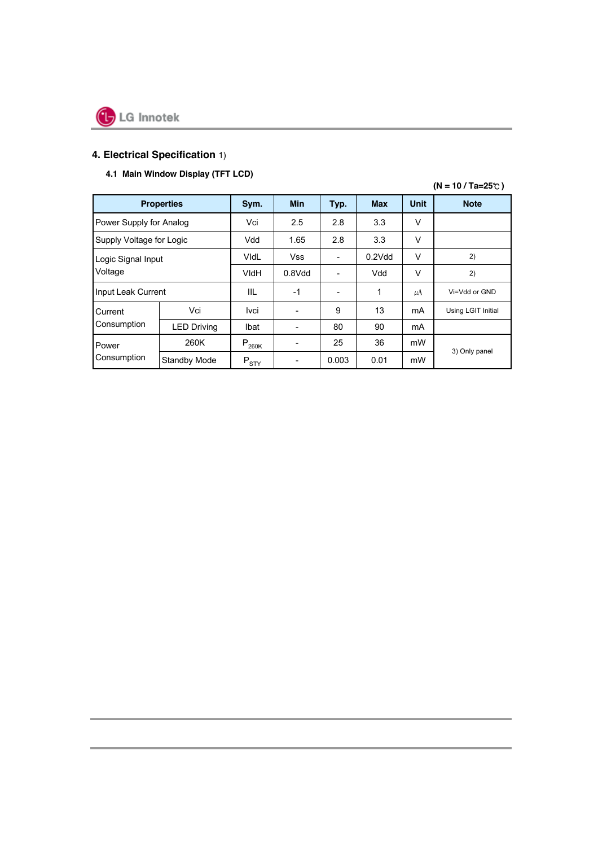

## **4. Electrical Specification** 1)

## **4.1 Main Window Display (TFT LCD)**

|                          | $(N = 10 / Ta = 25^{\circ}C)$ |            |                          |       |            |             |                    |  |  |  |  |  |  |
|--------------------------|-------------------------------|------------|--------------------------|-------|------------|-------------|--------------------|--|--|--|--|--|--|
|                          | <b>Properties</b>             | Sym.       | <b>Min</b>               | Typ.  | <b>Max</b> | <b>Unit</b> | <b>Note</b>        |  |  |  |  |  |  |
| Power Supply for Analog  |                               | Vci        | 2.5                      | 2.8   | 3.3        | V           |                    |  |  |  |  |  |  |
| Supply Voltage for Logic |                               | Vdd        | 1.65                     | 2.8   | 3.3        | V           |                    |  |  |  |  |  |  |
| Logic Signal Input       |                               | VidL       | <b>Vss</b>               |       | $0.2$ Vdd  | V           | 2)                 |  |  |  |  |  |  |
| Voltage                  |                               | VIdH       | 0.8Vdd                   |       | Vdd        | V           | 2)                 |  |  |  |  |  |  |
| Input Leak Current       |                               | IIL        | $-1$                     |       | 1          | $\mu$ A     | Vi=Vdd or GND      |  |  |  |  |  |  |
| Current                  | Vci                           | Ivci       |                          | 9     | 13         | mA          | Using LGIT Initial |  |  |  |  |  |  |
| Consumption              | <b>LED Driving</b>            | Ibat       | ۰                        | 80    | 90         | mA          |                    |  |  |  |  |  |  |
| Power<br>Consumption     | 260K                          | $P_{260K}$ | $\overline{\phantom{a}}$ | 25    | 36         | mW          |                    |  |  |  |  |  |  |
|                          | Standby Mode                  | $P_{STY}$  | -                        | 0.003 | 0.01       | mW          | 3) Only panel      |  |  |  |  |  |  |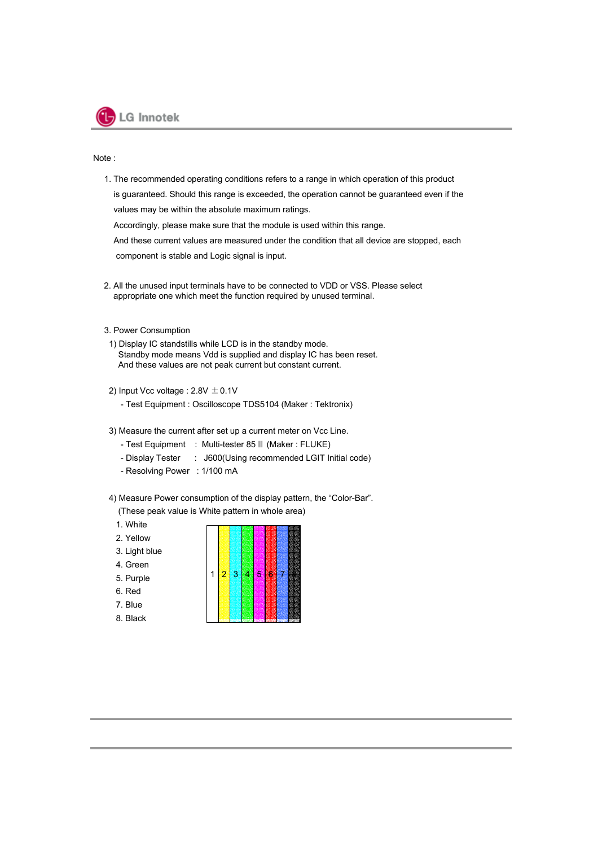

Note :

1. The recommended operating conditions refers to a range in which operation of this product is guaranteed. Should this range is exceeded, the operation cannot be guaranteed even if the values may be within the absolute maximum ratings. Accordingly, please make sure that the module is used within this range.

And these current values are measured under the condition that all device are stopped, each component is stable and Logic signal is input.

- 2. All the unused input terminals have to be connected to VDD or VSS. Please select appropriate one which meet the function required by unused terminal.
- 3. Power Consumption
	- 1) Display IC standstills while LCD is in the standby mode. Standby mode means Vdd is supplied and display IC has been reset. And these values are not peak current but constant current.
- 2) Input Vcc voltage :  $2.8V \pm 0.1V$ 
	- Test Equipment : Oscilloscope TDS5104 (Maker : Tektronix)
- 3) Measure the current after set up a current meter on Vcc Line.
	- Test Equipment : Multi-tester 85Ⅲ (Maker : FLUKE)
	- Display Tester : J600(Using recommended LGIT Initial code)
	- Resolving Power : 1/100 mA
- 4) Measure Power consumption of the display pattern, the "Color-Bar".

(These peak value is White pattern in whole area)

- 1. White
- 2. Yellow
- 3. Light blue
- 4. Green
- 5. Purple
- 6. Red
- 7. Blue
- 8. Black

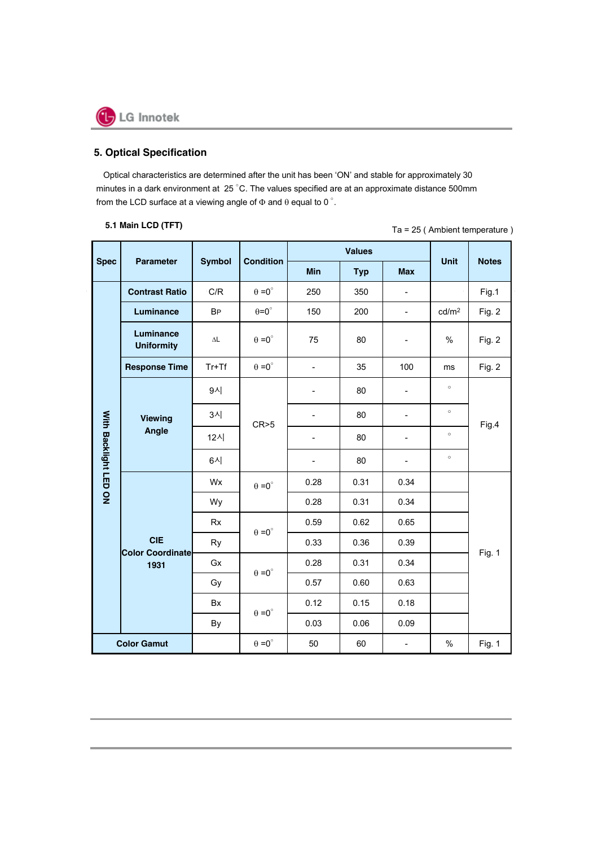

## **5. Optical Specification**

Optical characteristics are determined after the unit has been 'ON' and stable for approximately 30 minutes in a dark environment at 25 °C. The values specified are at an approximate distance 500mm from the LCD surface at a viewing angle of  $\Phi$  and  $\theta$  equal to 0  $^{\circ}$ .

Ta = 25 ( Ambient temperature ) **5.1 Main LCD (TFT)**

| <b>Spec</b>           | <b>Parameter</b>                      | <b>Symbol</b>       | <b>Condition</b>     |                | <b>Values</b> |                          | <b>Unit</b>       | <b>Notes</b> |  |  |
|-----------------------|---------------------------------------|---------------------|----------------------|----------------|---------------|--------------------------|-------------------|--------------|--|--|
|                       |                                       |                     |                      | Min            | <b>Typ</b>    | <b>Max</b>               |                   |              |  |  |
|                       | <b>Contrast Ratio</b>                 | C/R                 | $\theta = 0^{\circ}$ | 250            | 350           | ÷,                       |                   | Fig.1        |  |  |
|                       | <b>Luminance</b>                      | <b>BP</b>           | $\theta = 0^{\circ}$ | 150            | 200           | $\overline{\phantom{a}}$ | cd/m <sup>2</sup> | Fig. 2       |  |  |
|                       | Luminance<br><b>Uniformity</b>        | $\Delta \mathsf{L}$ | $\Theta = 0^{\circ}$ | 75             | 80            |                          | $\%$              | Fig. 2       |  |  |
|                       | <b>Response Time</b>                  | $Tr+Tf$             | $\theta = 0^{\circ}$ | $\blacksquare$ | 35            | 100                      | ms                | Fig. 2       |  |  |
| With Backlight LED ON |                                       | 9시                  |                      |                | 80            | $\overline{\phantom{0}}$ | $\circ$           |              |  |  |
|                       | Viewing<br>Angle                      | 3시                  | CR > 5               |                | 80            | ÷,                       | $\circ$           | Fig.4        |  |  |
|                       |                                       | 12시                 |                      | $\overline{a}$ | 80            | ÷,                       | $\circ$           |              |  |  |
|                       |                                       | 6시                  |                      |                | 80            | $\overline{\phantom{0}}$ | $\circ$           |              |  |  |
|                       |                                       | Wx                  | $\theta = 0^{\circ}$ | 0.28           | 0.31          | 0.34                     |                   |              |  |  |
|                       |                                       | Wy                  |                      | 0.28           | 0.31          | 0.34                     |                   |              |  |  |
|                       |                                       | <b>Rx</b>           | $\theta = 0^{\circ}$ | 0.59           | 0.62          | 0.65                     |                   |              |  |  |
|                       | <b>CIE</b><br><b>Color Coordinate</b> | <b>Ry</b>           |                      | 0.33           | 0.36          | 0.39                     |                   | Fig. 1       |  |  |
|                       | 1931                                  | Gx                  | $\theta = 0^{\circ}$ | 0.28           | 0.31          | 0.34                     |                   |              |  |  |
|                       |                                       | Gy                  |                      | 0.57           | 0.60          | 0.63                     |                   |              |  |  |
|                       |                                       | Bx                  | $\theta = 0^{\circ}$ | 0.12           | 0.15<br>0.18  |                          |                   |              |  |  |
|                       |                                       | By                  |                      | 0.03           | 0.06          | 0.09                     |                   |              |  |  |
|                       | <b>Color Gamut</b>                    |                     | $\theta = 0^{\circ}$ | 50             | 60            | $\blacksquare$           | $\%$              | Fig. 1       |  |  |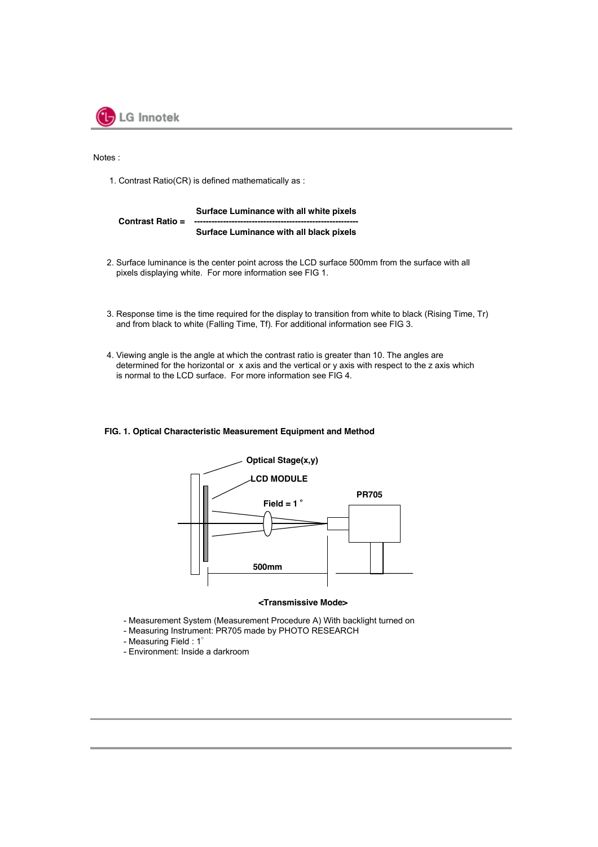

Notes :

1. Contrast Ratio(CR) is defined mathematically as :

#### **Surface Luminance with all white pixels Contrast Ratio = Surface Luminance with all black pixels**

- 2. Surface luminance is the center point across the LCD surface 500mm from the surface with all pixels displaying white. For more information see FIG 1.
- 3. Response time is the time required for the display to transition from white to black (Rising Time, Tr) and from black to white (Falling Time, Tf). For additional information see FIG 3.
- 4. Viewing angle is the angle at which the contrast ratio is greater than 10. The angles are determined for the horizontal or x axis and the vertical or y axis with respect to the z axis which is normal to the LCD surface. For more information see FIG 4.

#### **FIG. 1. Optical Characteristic Measurement Equipment and Method**



#### **<Transmissive Mode>**

- Measurement System (Measurement Procedure A) With backlight turned on
- Measuring Instrument: PR705 made by PHOTO RESEARCH
- Measuring Field : 1°
- Environment: Inside a darkroom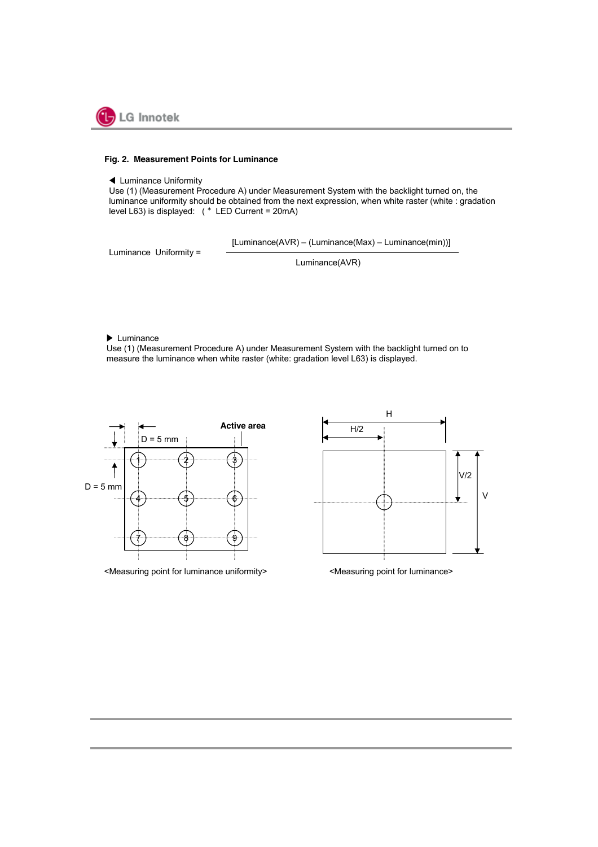

#### **Fig. 2. Measurement Points for Luminance**

#### ◀ Luminance Uniformity

Use (1) (Measurement Procedure A) under Measurement System with the backlight turned on, the luminance uniformity should be obtained from the next expression, when white raster (white : gradation level L63) is displayed: (\* LED Current = 20mA)

[Luminance(AVR) – (Luminance(Max) – Luminance(min))]

Luminance Uniformity =

Luminance(AVR)

▶ Luminance

Use (1) (Measurement Procedure A) under Measurement System with the backlight turned on to measure the luminance when white raster (white: gradation level L63) is displayed.



<Measuring point for luminance uniformity> <Measuring point for luminance>

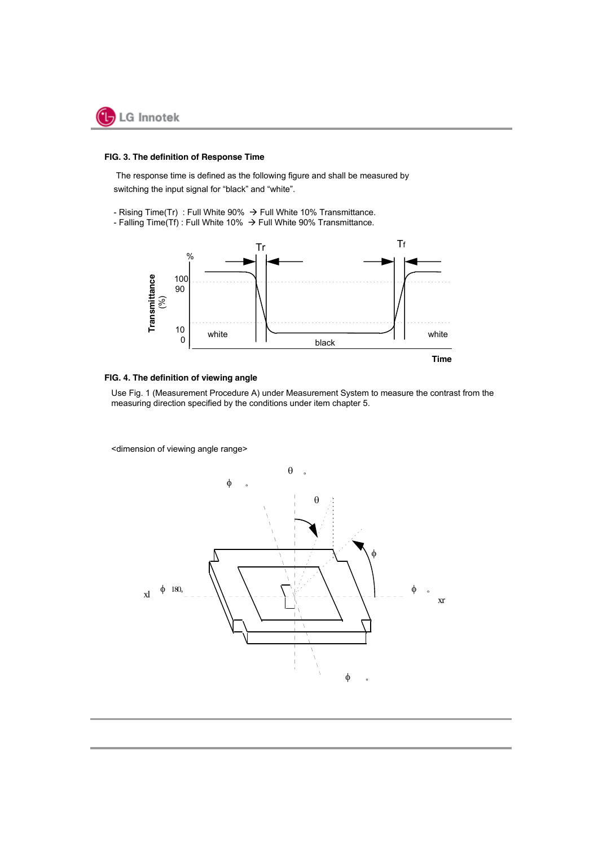

#### **FIG. 3. The definition of Response Time**

The response time is defined as the following figure and shall be measured by switching the input signal for "black" and "white".

- Rising Time(Tr) : Full White 90%  $\rightarrow$  Full White 10% Transmittance.
- Falling Time(Tf) : Full White 10%  $\rightarrow$  Full White 90% Transmittance.



#### **FIG. 4. The definition of viewing angle**

Use Fig. 1 (Measurement Procedure A) under Measurement System to measure the contrast from the measuring direction specified by the conditions under item chapter 5.

<dimension of viewing angle range>

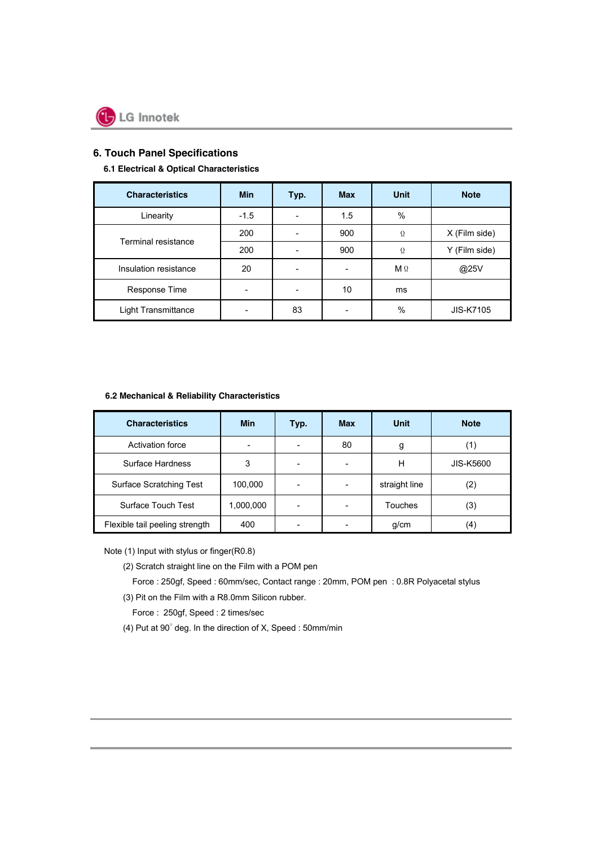

## **6. Touch Panel Specifications**

#### **6.1 Electrical & Optical Characteristics**

| <b>Characteristics</b>     | <b>Min</b> | Typ.                     | <b>Max</b> | Unit       | <b>Note</b>      |
|----------------------------|------------|--------------------------|------------|------------|------------------|
| Linearity                  | $-1.5$     |                          | 1.5        | $\%$       |                  |
|                            | 200        |                          | 900        | Ω          | X (Film side)    |
| Terminal resistance        | 200        |                          | 900        | Ω          | Y (Film side)    |
| Insulation resistance      | 20         | $\overline{\phantom{a}}$ |            | $M \Omega$ | @25V             |
| Response Time              |            |                          | 10         | ms         |                  |
| <b>Light Transmittance</b> |            | 83                       |            | $\%$       | <b>JIS-K7105</b> |

#### **6.2 Mechanical & Reliability Characteristics**

| <b>Characteristics</b>         | <b>Min</b> | Typ.                     | <b>Max</b> | Unit          | <b>Note</b>      |
|--------------------------------|------------|--------------------------|------------|---------------|------------------|
| <b>Activation force</b>        |            |                          | 80         | g             |                  |
| Surface Hardness               | 3          |                          |            | н             | <b>JIS-K5600</b> |
| <b>Surface Scratching Test</b> | 100,000    | $\overline{\phantom{a}}$ |            | straight line | (2)              |
| Surface Touch Test             | 1,000,000  | $\overline{\phantom{a}}$ |            | Touches       | (3)              |
| Flexible tail peeling strength | 400        |                          |            | g/cm          | (4)              |

Note (1) Input with stylus or finger(R0.8)

(2) Scratch straight line on the Film with a POM pen

Force : 250gf, Speed : 60mm/sec, Contact range : 20mm, POM pen : 0.8R Polyacetal stylus

(3) Pit on the Film with a R8.0mm Silicon rubber.

Force : 250gf, Speed : 2 times/sec

(4) Put at 90˚ deg. In the direction of X, Speed : 50mm/min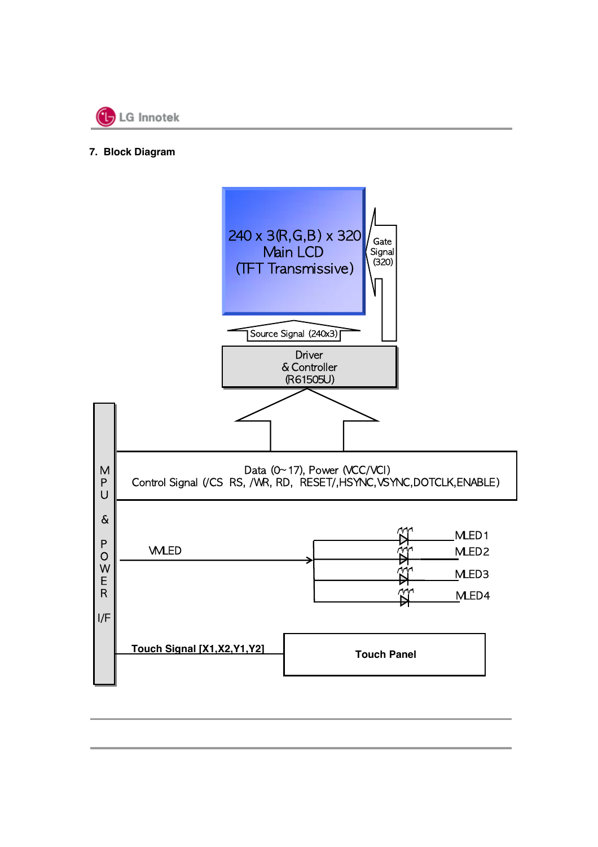

## **7. Block Diagram**

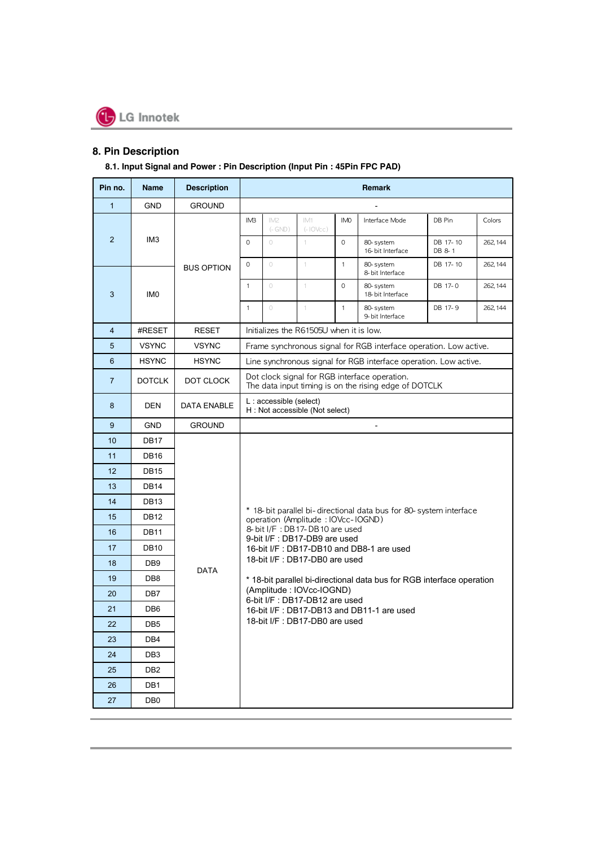

## **8. Pin Description**

## **8.1. Input Signal and Power : Pin Description (Input Pin : 45Pin FPC PAD)**

| Pin no.        | <b>Name</b>      | <b>Description</b> |                                                                            |                                                                                                        |                                                                |              | Remark                                                                |                    |          |  |  |  |  |
|----------------|------------------|--------------------|----------------------------------------------------------------------------|--------------------------------------------------------------------------------------------------------|----------------------------------------------------------------|--------------|-----------------------------------------------------------------------|--------------------|----------|--|--|--|--|
| $\mathbf{1}$   | <b>GND</b>       | <b>GROUND</b>      |                                                                            |                                                                                                        |                                                                |              |                                                                       |                    |          |  |  |  |  |
|                |                  |                    | IM <sub>B</sub>                                                            | IM <sub>2</sub><br>$(-$ GND)                                                                           | IM1<br>$(-10Vec)$                                              | <b>IMO</b>   | Interface Mode                                                        | DB Pin             | Colors   |  |  |  |  |
| $\overline{2}$ | IM <sub>3</sub>  |                    | 0                                                                          | $\circ$                                                                                                | 1.                                                             | $\Omega$     | 80-system<br>16-bit Interface                                         | DB 17-10<br>DB 8-1 | 262, 144 |  |  |  |  |
|                |                  | <b>BUS OPTION</b>  | $\circ$                                                                    | $\circ$                                                                                                | 1.                                                             | $\mathbf{1}$ | 80-system<br>8-bit Interface                                          | DB 17-10           | 262, 144 |  |  |  |  |
| 3              | IM <sub>0</sub>  |                    | $\mathbf{1}$<br>$\circ$<br>$\Omega$<br>80-system<br>1.<br>18-bit Interface |                                                                                                        | DB 17-0                                                        | 262, 144     |                                                                       |                    |          |  |  |  |  |
|                |                  |                    | $\mathbf{1}$                                                               | $\circ$                                                                                                | 1                                                              | $\mathbf{1}$ | 80-system<br>9-bit Interface                                          | DB 17-9            | 262, 144 |  |  |  |  |
| $\overline{4}$ | #RESET           | <b>RESET</b>       |                                                                            |                                                                                                        | Initializes the R61505U when it is low.                        |              |                                                                       |                    |          |  |  |  |  |
| 5              | <b>VSYNC</b>     | <b>VSYNC</b>       |                                                                            |                                                                                                        |                                                                |              | Frame synchronous signal for RGB interface operation. Low active.     |                    |          |  |  |  |  |
| 6              | <b>HSYNC</b>     | <b>HSYNC</b>       |                                                                            |                                                                                                        |                                                                |              | Line synchronous signal for RGB interface operation. Low active.      |                    |          |  |  |  |  |
| $\overline{7}$ | <b>DOTCLK</b>    | DOT CLOCK          |                                                                            | Dot clock signal for RGB interface operation.<br>The data input timing is on the rising edge of DOTCLK |                                                                |              |                                                                       |                    |          |  |  |  |  |
| 8              | DEN              | <b>DATA ENABLE</b> | L: accessible (select)<br>H: Not accessible (Not select)                   |                                                                                                        |                                                                |              |                                                                       |                    |          |  |  |  |  |
| 9              | <b>GND</b>       | <b>GROUND</b>      |                                                                            |                                                                                                        |                                                                |              |                                                                       |                    |          |  |  |  |  |
| 10             | <b>DB17</b>      |                    |                                                                            |                                                                                                        |                                                                |              |                                                                       |                    |          |  |  |  |  |
| 11             | DB <sub>16</sub> |                    |                                                                            |                                                                                                        |                                                                |              |                                                                       |                    |          |  |  |  |  |
| 12             | DB <sub>15</sub> |                    |                                                                            |                                                                                                        |                                                                |              |                                                                       |                    |          |  |  |  |  |
| 13             | DB14             |                    |                                                                            |                                                                                                        |                                                                |              |                                                                       |                    |          |  |  |  |  |
| 14             | DB13             |                    |                                                                            |                                                                                                        |                                                                |              |                                                                       |                    |          |  |  |  |  |
| 15             | <b>DB12</b>      |                    |                                                                            |                                                                                                        | operation (Amplitude: IOVcc-IOGND)                             |              | * 18-bit parallel bi-directional data bus for 80-system interface     |                    |          |  |  |  |  |
| 16             | <b>DB11</b>      |                    |                                                                            |                                                                                                        | 8-bit I/F: DB17-DB10 are used<br>9-bit I/F : DB17-DB9 are used |              |                                                                       |                    |          |  |  |  |  |
| 17             | <b>DB10</b>      |                    |                                                                            |                                                                                                        |                                                                |              | 16-bit I/F : DB17-DB10 and DB8-1 are used                             |                    |          |  |  |  |  |
| 18             | DB <sub>9</sub>  | <b>DATA</b>        |                                                                            |                                                                                                        | 18-bit I/F : DB17-DB0 are used                                 |              |                                                                       |                    |          |  |  |  |  |
| 19             | DB8              |                    |                                                                            |                                                                                                        |                                                                |              | * 18-bit parallel bi-directional data bus for RGB interface operation |                    |          |  |  |  |  |
| 20             | DB7              |                    |                                                                            |                                                                                                        | (Amplitude: IOVcc-IOGND)<br>6-bit I/F : DB17-DB12 are used     |              |                                                                       |                    |          |  |  |  |  |
| 21             | DB <sub>6</sub>  |                    |                                                                            |                                                                                                        |                                                                |              | 16-bit I/F: DB17-DB13 and DB11-1 are used                             |                    |          |  |  |  |  |
| 22             | DB <sub>5</sub>  |                    | 18-bit I/F : DB17-DB0 are used                                             |                                                                                                        |                                                                |              |                                                                       |                    |          |  |  |  |  |
| 23             | DB4              |                    |                                                                            |                                                                                                        |                                                                |              |                                                                       |                    |          |  |  |  |  |
| 24             | DB <sub>3</sub>  |                    |                                                                            |                                                                                                        |                                                                |              |                                                                       |                    |          |  |  |  |  |
| 25             | DB <sub>2</sub>  |                    |                                                                            |                                                                                                        |                                                                |              |                                                                       |                    |          |  |  |  |  |
| 26             | DB1              |                    |                                                                            |                                                                                                        |                                                                |              |                                                                       |                    |          |  |  |  |  |
| 27             | DB0              |                    |                                                                            |                                                                                                        |                                                                |              |                                                                       |                    |          |  |  |  |  |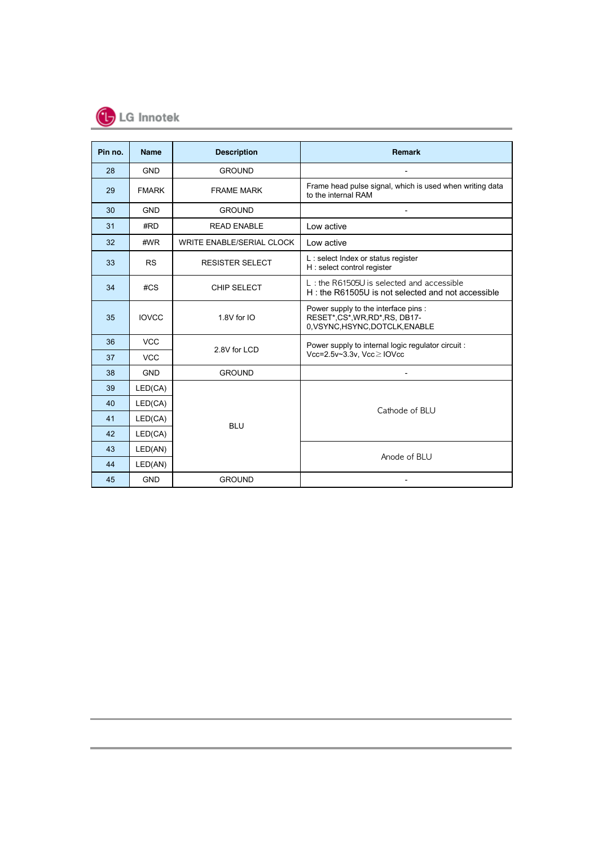

| Pin no. | <b>Name</b>  | <b>Description</b>        | <b>Remark</b>                                                                                         |  |  |  |  |  |  |  |
|---------|--------------|---------------------------|-------------------------------------------------------------------------------------------------------|--|--|--|--|--|--|--|
| 28      | <b>GND</b>   | <b>GROUND</b>             |                                                                                                       |  |  |  |  |  |  |  |
| 29      | <b>FMARK</b> | <b>FRAME MARK</b>         | Frame head pulse signal, which is used when writing data<br>to the internal RAM                       |  |  |  |  |  |  |  |
| 30      | <b>GND</b>   | <b>GROUND</b>             |                                                                                                       |  |  |  |  |  |  |  |
| 31      | #RD          | <b>READ ENABLE</b>        | Low active                                                                                            |  |  |  |  |  |  |  |
| 32      | #WR          | WRITE ENABLE/SERIAL CLOCK | Low active                                                                                            |  |  |  |  |  |  |  |
| 33      | <b>RS</b>    | <b>RESISTER SELECT</b>    | L: select Index or status register<br>H: select control register                                      |  |  |  |  |  |  |  |
| 34      | #CS          | <b>CHIP SELECT</b>        | L: the R61505U is selected and accessible<br>H: the R61505U is not selected and not accessible        |  |  |  |  |  |  |  |
| 35      | <b>IOVCC</b> | 1.8V for IO               | Power supply to the interface pins :<br>RESET*,CS*,WR,RD*,RS, DB17-<br>0.VSYNC, HSYNC, DOTCLK, ENABLE |  |  |  |  |  |  |  |
| 36      | <b>VCC</b>   | 2.8V for LCD              | Power supply to internal logic regulator circuit :                                                    |  |  |  |  |  |  |  |
| 37      | <b>VCC</b>   |                           | Vcc=2.5v~3.3v, Vcc≥IOVcc                                                                              |  |  |  |  |  |  |  |
| 38      | <b>GND</b>   | <b>GROUND</b>             |                                                                                                       |  |  |  |  |  |  |  |
| 39      | LED(CA)      |                           |                                                                                                       |  |  |  |  |  |  |  |
| 40      | LED(CA)      |                           | Cathode of BLU                                                                                        |  |  |  |  |  |  |  |
| 41      | LED(CA)      | <b>BLU</b>                |                                                                                                       |  |  |  |  |  |  |  |
| 42      | LED(CA)      |                           |                                                                                                       |  |  |  |  |  |  |  |
| 43      | LED(AN)      |                           | Anode of BLU                                                                                          |  |  |  |  |  |  |  |
| 44      | LED(AN)      |                           |                                                                                                       |  |  |  |  |  |  |  |
| 45      | <b>GND</b>   | <b>GROUND</b>             |                                                                                                       |  |  |  |  |  |  |  |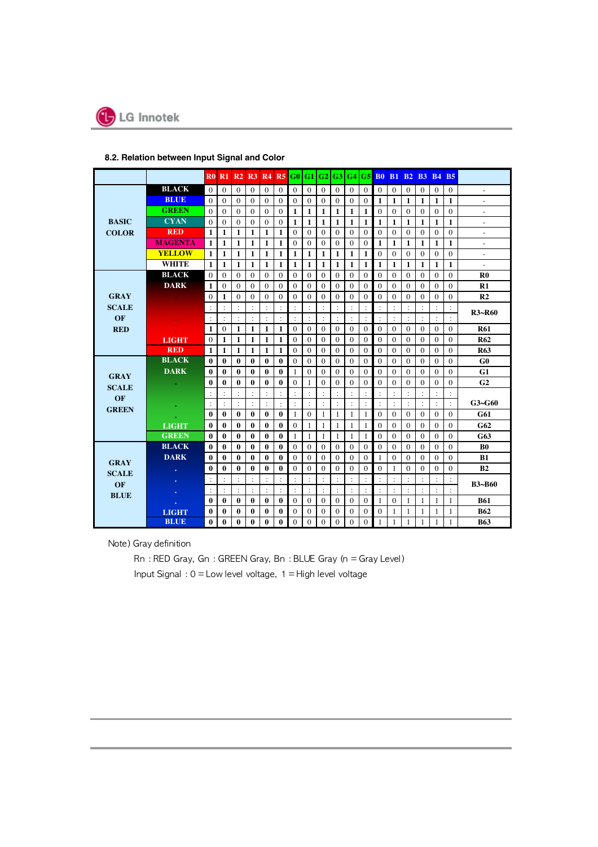

#### **8.2. Relation between Input Signal and Color**

|                   |                | R0.                  | R1               | R2                   |                  | <b>R3 R4</b>   |                      | <b>R5</b> G0 G1      |                      | G2                   | G3               | G4                   | G5             | B <sub>0</sub>       | <b>B1</b>      | B <sub>2</sub>       | <b>B3</b>            | <b>B4</b>      | <b>B5</b>            |                |  |
|-------------------|----------------|----------------------|------------------|----------------------|------------------|----------------|----------------------|----------------------|----------------------|----------------------|------------------|----------------------|----------------|----------------------|----------------|----------------------|----------------------|----------------|----------------------|----------------|--|
|                   | <b>BLACK</b>   | $\theta$             | $\Omega$         | $\Omega$             | $\Omega$         | $\mathbf{0}$   | $\Omega$             | $\Omega$             | $\Omega$             | $\theta$             | $\Omega$         | $\Omega$             | $\Omega$       | $\Omega$             | $\Omega$       | $\Omega$             | $\Omega$             | $\Omega$       | $\Omega$             | ÷              |  |
|                   | <b>BLUE</b>    | $\theta$             | $\Omega$         | $\Omega$             | $\Omega$         | $\Omega$       | $\Omega$             | $\Omega$             | $\Omega$             | $\theta$             | $\Omega$         | $\Omega$             | $\Omega$       | 1                    | 1              | 1                    | 1                    | $\mathbf{1}$   | $\mathbf{1}$         |                |  |
|                   | <b>GREEN</b>   | $\theta$             | $\Omega$         | $\Omega$             | $\theta$         | $\Omega$       | $\mathbf{0}$         | 1                    | 1                    | 1                    | 1                | 1                    | 1              | $\theta$             | $\Omega$       | $\Omega$             | $\Omega$             | $\theta$       | $\theta$             | L.             |  |
| <b>BASIC</b>      | <b>CYAN</b>    | $\Omega$             | $\mathbf{0}$     | $\mathbf{0}$         | $\mathbf{0}$     | $\mathbf{0}$   | $\mathbf{0}$         | 1                    | $\mathbf{1}$         | 1                    | 1                | 1                    | 1              | 1                    | 1              | 1                    | 1                    | $\mathbf{1}$   | $\mathbf{1}$         | $\overline{a}$ |  |
| <b>COLOR</b>      | <b>RED</b>     | $\mathbf{1}$         | $\mathbf{1}$     | $\mathbf{1}$         | 1                | 1              | $\mathbf{1}$         | $\theta$             | $\Omega$             | $\theta$             | $\theta$         | $\Omega$             | $\Omega$       | $\theta$             | $\theta$       | $\Omega$             | $\Omega$             | $\theta$       | $\theta$             | ÷.             |  |
|                   | <b>MAGENTA</b> | $\mathbf{1}$         | $\mathbf{1}$     | 1                    | $\mathbf{1}$     | $\mathbf{1}$   | 1                    | $\mathbf{0}$         | $\mathbf{0}$         | $\mathbf{0}$         | $\mathbf{0}$     | $\mathbf{0}$         | 0              | 1                    | 1              | 1                    | 1                    | 1              | 1                    |                |  |
|                   | <b>YELLOW</b>  | $\mathbf{1}$         | $\mathbf{1}$     | 1                    | 1                | 1              | 1                    | 1                    | 1                    | 1                    | 1                | 1                    | 1              | $\mathbf{0}$         | $\mathbf{0}$   | $\mathbf{0}$         | $\mathbf{0}$         | $\mathbf{0}$   | $\mathbf{0}$         | -              |  |
|                   | <b>WHITE</b>   | $\mathbf{1}$         | $\mathbf{1}$     | 1                    | 1                | $\mathbf{1}$   | $\mathbf{1}$         | 1                    | 1                    | 1                    | 1                | 1                    | 1              | 1                    | 1              | 1                    | 1                    | 1              | $\mathbf{1}$         |                |  |
|                   | <b>BLACK</b>   | $\theta$             | $\Omega$         | $\Omega$             | $\Omega$         | $\Omega$       | $\Omega$             | $\Omega$             | $\Omega$             | $\Omega$             | $\Omega$         | $\Omega$             | $\Omega$       | $\Omega$             | 0              | $\Omega$             | $\Omega$             | $\theta$       | $\Omega$             | R <sub>0</sub> |  |
|                   | <b>DARK</b>    | $\mathbf{1}$         | $\Omega$         | $\theta$             | $\theta$         | $\Omega$       | $\theta$             | $\theta$             | $\theta$             | $\theta$             | $\theta$         | $\Omega$             | $\Omega$       | $\theta$             | $\theta$       | $\Omega$             | $\Omega$             | $\theta$       | $\Omega$             | R1             |  |
| <b>GRAY</b>       |                | $\theta$             | 1                | $\Omega$             | $\theta$         | $\Omega$       | $\theta$             | $\Omega$             | $\Omega$             | $\theta$             | $\theta$         | $\Omega$             | $\Omega$       | $\theta$             | $\Omega$       | $\Omega$             | $\theta$             | $\theta$       | $\theta$             | R <sub>2</sub> |  |
| <b>SCALE</b>      |                | $\ddot{\cdot}$       | $\ddot{\cdot}$   | $\ddot{\cdot}$       | $\ddot{\cdot}$   | $\ddot{\cdot}$ |                      | $\ddot{\cdot}$       |                      | $\ddot{\cdot}$       |                  | $\ddot{\cdot}$       | $\ddot{\cdot}$ | $\ddot{\cdot}$       |                | $\vdots$             | $\ddot{\phantom{a}}$ | $\ddot{\cdot}$ | $\ddot{\cdot}$       | <b>R3~R60</b>  |  |
| OF                |                | $\ddot{\cdot}$       |                  |                      |                  |                |                      | $\ddot{\cdot}$       | $\ddot{\phantom{a}}$ | $\ddot{\phantom{a}}$ |                  | $\ddot{\cdot}$       | $\ddot{\cdot}$ | $\ddot{\phantom{a}}$ |                |                      |                      |                | $\cdot$              |                |  |
| <b>RED</b>        |                | 1                    | $\Omega$         | 1                    | 1                | 1              | 1                    | $\Omega$             | $\Omega$             | $\Omega$             | $\Omega$         | $\Omega$             | $\Omega$       | $\Omega$             | $\Omega$       | $\Omega$             | $\Omega$             | $\Omega$       | $\Omega$             | <b>R61</b>     |  |
|                   | <b>LIGHT</b>   | $\mathbf{0}$         | 1                | $\mathbf{1}$         | 1                | 1              | 1                    | $\theta$             | $\mathbf{0}$         | $\theta$             | $\mathbf{0}$     | $\Omega$             | 0              | $\Omega$             | 0              | $\Omega$             | $\mathbf{0}$         | $\theta$       | $\Omega$             | <b>R62</b>     |  |
|                   | <b>RED</b>     | $\mathbf{1}$         | 1                | $\mathbf{1}$         | 1                | 1              | 1                    | $\mathbf{0}$         | $\mathbf{0}$         | $\Omega$             | $\mathbf{0}$     | $\Omega$             | $\mathbf{0}$   | $\theta$             | $\mathbf{0}$   | 0                    | $\mathbf{0}$         | $\mathbf{0}$   | $\mathbf{0}$         | <b>R63</b>     |  |
|                   | <b>BLACK</b>   | $\bf{0}$             | $\bf{0}$         | $\bf{0}$             | $\bf{0}$         | $\mathbf 0$    | $\bf{0}$             | $\mathbf{0}$         | $\mathbf{0}$         | $\mathbf{0}$         | $\mathbf{0}$     | $\mathbf{0}$         | $\mathbf{0}$   | $\mathbf{0}$         | $\Omega$       | $\Omega$             | $\mathbf{0}$         | $\mathbf{0}$   | $\Omega$             | G <sub>0</sub> |  |
| <b>GRAY</b>       | <b>DARK</b>    | $\bf{0}$             | $\bf{0}$         | 0                    | $\bf{0}$         | $\bf{0}$       | $\bf{0}$             | 1                    | $\bf{0}$             | $\mathbf{0}$         | $\mathbf{0}$     | $\mathbf{0}$         | $\mathbf{0}$   | $\mathbf{0}$         | 0              | $\mathbf{0}$         | $\mathbf{0}$         | $\mathbf{0}$   | $\mathbf{0}$         | G1             |  |
| <b>SCALE</b>      |                | $\bf{0}$             | $\boldsymbol{0}$ | $\bf{0}$             | $\boldsymbol{0}$ | $\bf{0}$       | $\boldsymbol{0}$     | $\mathbf{0}$         | 1                    | $\mathbf{0}$         | $\boldsymbol{0}$ | $\mathbf{0}$         | $\mathbf{0}$   | $\theta$             | 0              | $\Omega$             | 0                    | $\mathbf{0}$   | $\mathbf{0}$         | G <sub>2</sub> |  |
| <b>OF</b>         |                |                      | $\ddot{\cdot}$   |                      | $\ddot{\cdot}$   | $\ddot{\cdot}$ | $\cdot$              | $\ddot{\cdot}$       | $\ddot{\phantom{a}}$ | $\ddot{\cdot}$       | $\mathbf{.}$     | $\ddot{\cdot}$       | $\ddot{\cdot}$ | $\ddot{\cdot}$       |                | $\ddot{\cdot}$       | $\cdot$              | $\ddot{\cdot}$ | $\ddot{\phantom{a}}$ |                |  |
| <b>GREEN</b>      |                | $\ddot{\phantom{a}}$ | $\ddot{\cdot}$   | $\ddot{\phantom{a}}$ | $\ddot{\cdot}$   | $\ddot{\cdot}$ | $\ddot{\phantom{a}}$ | $\ddot{\phantom{a}}$ | $\ddot{\phantom{a}}$ | $\ddot{\phantom{a}}$ |                  | $\ddot{\phantom{a}}$ | $\ddot{\cdot}$ | $\ddot{\phantom{a}}$ | $\ddot{\cdot}$ | $\ddot{\phantom{a}}$ | $\ddot{\cdot}$       | $\ddot{\cdot}$ | $\mathbf{r}$         | $G3 \sim G60$  |  |
|                   |                | $\bf{0}$             | $\bf{0}$         | $\bf{0}$             | $\bf{0}$         | $\mathbf{0}$   | $\bf{0}$             | 1                    | $\Omega$             | $\mathbf{1}$         | 1                | 1                    | 1              | $\Omega$             | $\Omega$       | $\Omega$             | $\Omega$             | $\Omega$       | $\theta$             | G61            |  |
|                   | <b>LIGHT</b>   | $\bf{0}$             | $\mathbf{0}$     | 0                    | $\mathbf{0}$     | $\mathbf{0}$   | $\mathbf{0}$         | $\Omega$             | 1                    | 1                    | 1                | 1                    | 1              | $\Omega$             | $\Omega$       | $\Omega$             | $\Omega$             | $\Omega$       | $\Omega$             | G62            |  |
|                   | <b>GREEN</b>   | $\bf{0}$             | $\bf{0}$         | $\bf{0}$             | $\bf{0}$         | $\bf{0}$       | $\bf{0}$             | 1                    | 1                    | $\mathbf{1}$         | 1                | 1                    | 1              | $\theta$             | 0              | $\Omega$             | $\mathbf{0}$         | $\theta$       | $\Omega$             | G63            |  |
|                   | <b>BLACK</b>   | $\bf{0}$             | $\bf{0}$         | 0                    | $\mathbf{0}$     | $\bf{0}$       | $\bf{0}$             | $\mathbf{0}$         | $\mathbf{0}$         | $\Omega$             | $\bf{0}$         | $\Omega$             | $\bf{0}$       | $\theta$             | $\mathbf{0}$   | $\Omega$             | $\mathbf{0}$         | $\Omega$       | $\Omega$             | B <sub>0</sub> |  |
| <b>GRAY</b>       | <b>DARK</b>    | $\bf{0}$             | $\bf{0}$         | $\bf{0}$             | $\bf{0}$         | $\bf{0}$       | $\bf{0}$             | $\theta$             | $\mathbf{0}$         | $\mathbf{0}$         | $\mathbf{0}$     | $\mathbf{0}$         | $\mathbf{0}$   | 1                    | $\mathbf{0}$   | $\Omega$             | $\mathbf{0}$         | $\mathbf{0}$   | $\mathbf{0}$         | B1             |  |
| <b>SCALE</b>      |                | $\bf{0}$             | $\bf{0}$         | 0                    | $\bf{0}$         | $\bf{0}$       | $\bf{0}$             | $\mathbf{0}$         | $\bf{0}$             | $\mathbf{0}$         | $\boldsymbol{0}$ | $\mathbf{0}$         | $\mathbf{0}$   | $\mathbf{0}$         | 1              | 0                    | 0                    | $\mathbf{0}$   | 0                    | B <sub>2</sub> |  |
| OF<br><b>BLUE</b> |                | $\ddot{\cdot}$       |                  | $\ddot{\cdot}$       | $\ddot{\cdot}$   | $\ddot{\cdot}$ | $\ddot{\phantom{a}}$ | $\ddot{\cdot}$       | $\ddot{\cdot}$       | $\ddot{\cdot}$       |                  | $\ddot{\cdot}$       | $\ddot{\cdot}$ | $\ddot{\phantom{a}}$ |                | $\ddot{\cdot}$       | $\ddot{\cdot}$       | $\ddot{\cdot}$ | $\ddot{\phantom{a}}$ | <b>B3~B60</b>  |  |
|                   |                | $\ddot{\phantom{a}}$ | $\ddot{\cdot}$   |                      | $\ddot{\cdot}$   | $\ddot{\cdot}$ | $\ddot{\phantom{a}}$ | $\ddot{\cdot}$       | $\ddot{\cdot}$       | $\ddot{\cdot}$       |                  | $\ddot{\cdot}$       | $\ddot{\cdot}$ | $\ddot{\cdot}$       |                | $\ddot{\cdot}$       | $\ddot{\cdot}$       | $\ddot{\cdot}$ | $\ddot{\phantom{0}}$ |                |  |
|                   |                | $\bf{0}$             | $\mathbf{0}$     | 0                    | $\bf{0}$         | $\mathbf{0}$   | $\mathbf{0}$         | $\Omega$             | $\Omega$             | $\theta$             | $\Omega$         | $\Omega$             | $\Omega$       | 1                    | $\Omega$       | 1                    | 1                    | 1              | $\mathbf{1}$         | <b>B61</b>     |  |
|                   | <b>LIGHT</b>   | $\bf{0}$             | $\mathbf{0}$     | 0                    | $\mathbf{0}$     | 0              | $\mathbf{0}$         | $\Omega$             | $\Omega$             | $\Omega$             | $\Omega$         | $\Omega$             | $\Omega$       | $\Omega$             | 1              | 1                    | 1                    | 1              | 1                    | <b>B62</b>     |  |
|                   | <b>BLUE</b>    | $\bf{0}$             | $\boldsymbol{0}$ | $\bf{0}$             | $\boldsymbol{0}$ | $\mathbf{0}$   | $\bf{0}$             | $\mathbf{0}$         | $\mathbf{0}$         | $\mathbf{0}$         | $\mathbf{0}$     | $\mathbf{0}$         | $\theta$       | 1                    | 1              | 1                    | 1                    | 1              | 1                    | <b>B63</b>     |  |

Note) Gray definition

Rn : RED Gray, Gn : GREEN Gray, Bn : BLUE Gray (n = Gray Level)

Input Signal :  $0 =$  Low level voltage,  $1 =$  High level voltage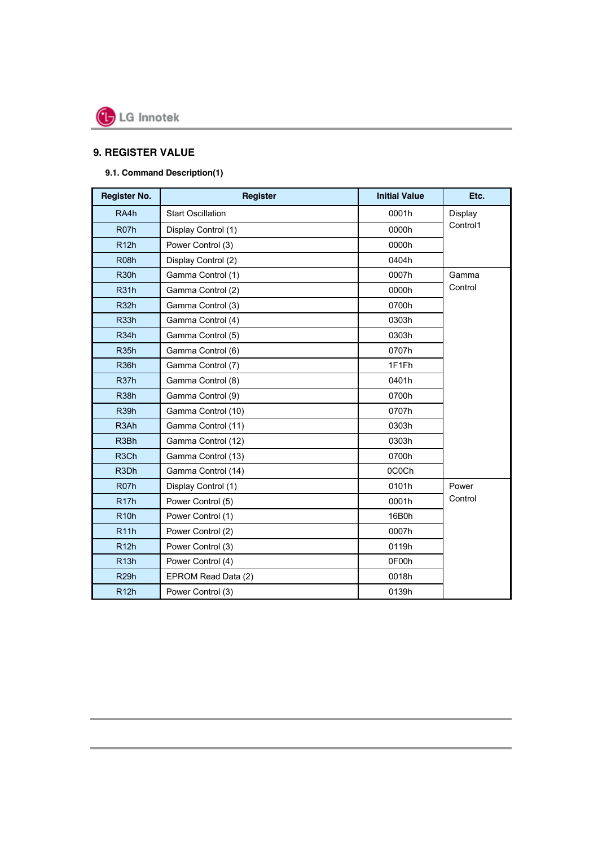

## **9. REGISTER VALUE**

## **9.1. Command Description(1)**

| <b>Register No.</b> | <b>Register</b>             | <b>Initial Value</b> | Etc.     |  |  |
|---------------------|-----------------------------|----------------------|----------|--|--|
| RA4h                | <b>Start Oscillation</b>    | Display<br>0001h     |          |  |  |
| R <sub>07</sub> h   | Display Control (1)         | 0000h                | Control1 |  |  |
| R12h                | Power Control (3)           | 0000h                |          |  |  |
| <b>R08h</b>         | Display Control (2)         | 0404h                |          |  |  |
| <b>R30h</b>         | Gamma Control (1)           | 0007h                | Gamma    |  |  |
| <b>R31h</b>         | Gamma Control (2)           | 0000h                | Control  |  |  |
| <b>R32h</b>         | Gamma Control (3)           | 0700h                |          |  |  |
| <b>R33h</b>         | Gamma Control (4)           | 0303h                |          |  |  |
| R <sub>34</sub> h   | Gamma Control (5)           | 0303h                |          |  |  |
| <b>R35h</b>         | Gamma Control (6)           | 0707h                |          |  |  |
| <b>R36h</b>         | Gamma Control (7)           | 1F1Fh                |          |  |  |
| R <sub>37</sub> h   | Gamma Control (8)           | 0401h                |          |  |  |
| <b>R38h</b>         | Gamma Control (9)           | 0700h                |          |  |  |
| R <sub>39</sub> h   | Gamma Control (10)          | 0707h                |          |  |  |
| R <sub>3</sub> Ah   | Gamma Control (11)<br>0303h |                      |          |  |  |
| R <sub>3</sub> Bh   | Gamma Control (12)          | 0303h                |          |  |  |
| R <sub>3</sub> Ch   | Gamma Control (13)<br>0700h |                      |          |  |  |
| R3Dh                | Gamma Control (14)          | 0C0Ch                |          |  |  |
| R <sub>07</sub> h   | Display Control (1)         | 0101h                | Power    |  |  |
| R <sub>17</sub> h   | Power Control (5)           | 0001h                | Control  |  |  |
| <b>R10h</b>         | 16B0h<br>Power Control (1)  |                      |          |  |  |
| <b>R11h</b>         | Power Control (2)           | 0007h                |          |  |  |
| R12h                | Power Control (3)           | 0119h                |          |  |  |
| R13h                | Power Control (4)           | 0F00h                |          |  |  |
| <b>R29h</b>         | EPROM Read Data (2)         | 0018h                |          |  |  |
| R12h                | Power Control (3)           | 0139h                |          |  |  |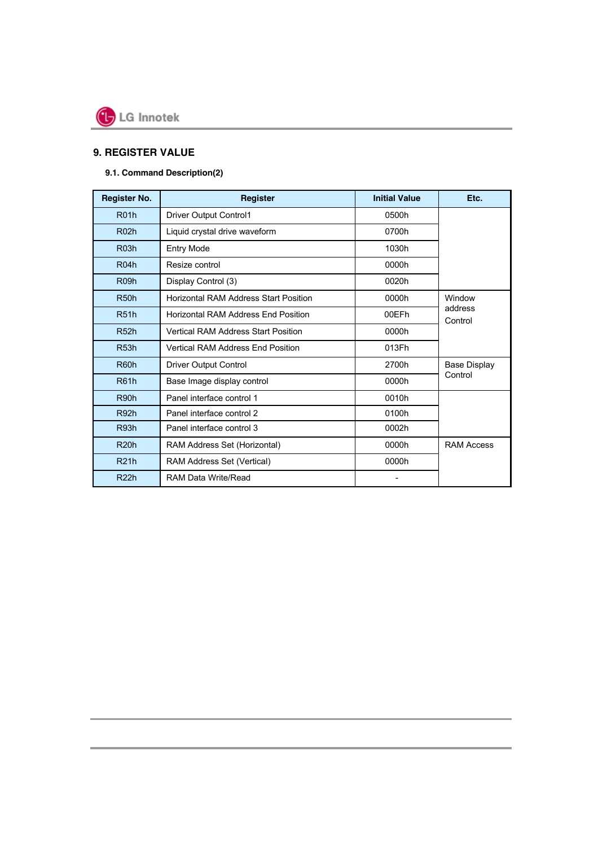

## **9. REGISTER VALUE**

## **9.1. Command Description(2)**

| <b>Register No.</b> | Register                                     | <b>Initial Value</b> | Etc.               |
|---------------------|----------------------------------------------|----------------------|--------------------|
| <b>R01h</b>         | <b>Driver Output Control1</b>                | 0500h                |                    |
| <b>R02h</b>         | Liquid crystal drive waveform                | 0700h                |                    |
| <b>R03h</b>         | <b>Entry Mode</b>                            | 1030h                |                    |
| <b>R04h</b>         | Resize control                               | 0000h                |                    |
| R <sub>09</sub> h   | Display Control (3)                          | 0020h                |                    |
| R <sub>50</sub> h   | <b>Horizontal RAM Address Start Position</b> | 0000h                | Window             |
| <b>R51h</b>         | Horizontal RAM Address End Position          | 00EFh                | address<br>Control |
| R52h                | <b>Vertical RAM Address Start Position</b>   | 0000h                |                    |
| <b>R53h</b>         | <b>Vertical RAM Address End Position</b>     | 013Fh                |                    |
| R60h                | <b>Driver Output Control</b>                 | 2700h                | Base Display       |
| <b>R61h</b>         | Base Image display control                   | 0000h                | Control            |
| R90h                | Panel interface control 1                    | 0010h                |                    |
| R92h                | Panel interface control 2                    |                      |                    |
| R93h                | Panel interface control 3                    | 0002h                |                    |
| <b>R20h</b>         | RAM Address Set (Horizontal)                 | 0000h                | <b>RAM Access</b>  |
| <b>R21h</b>         | RAM Address Set (Vertical)                   | 0000h                |                    |
| <b>R22h</b>         | RAM Data Write/Read                          |                      |                    |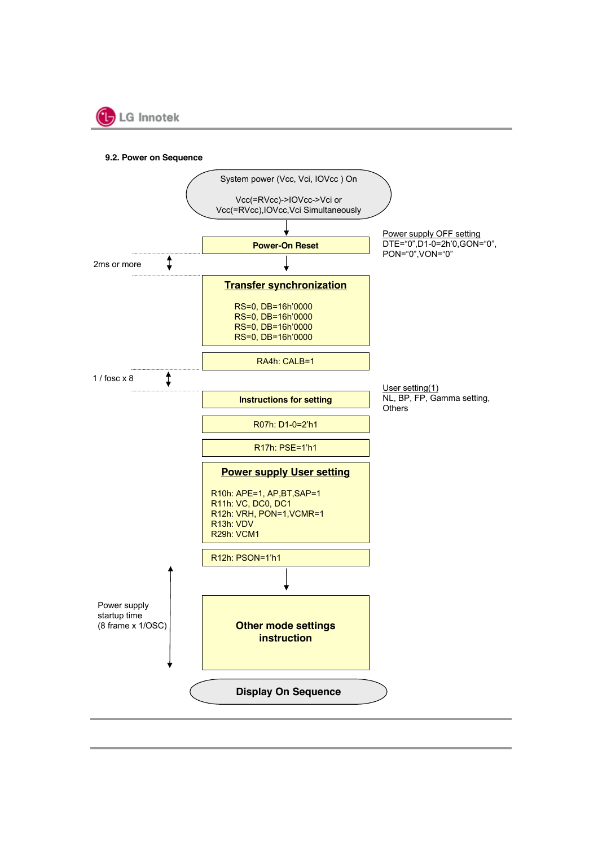

**9.2. Power on Sequence**

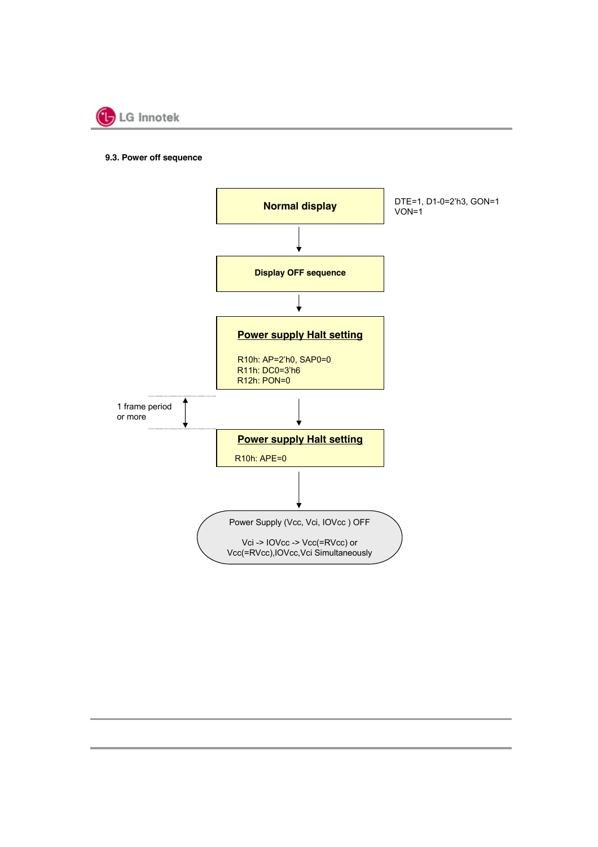

#### **9.3. Power off sequence**

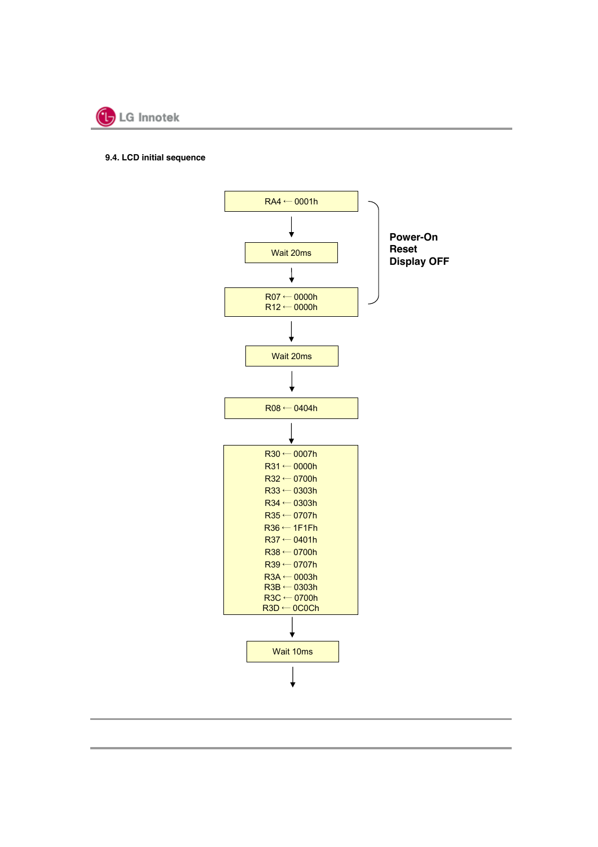

#### **9.4. LCD initial sequence**

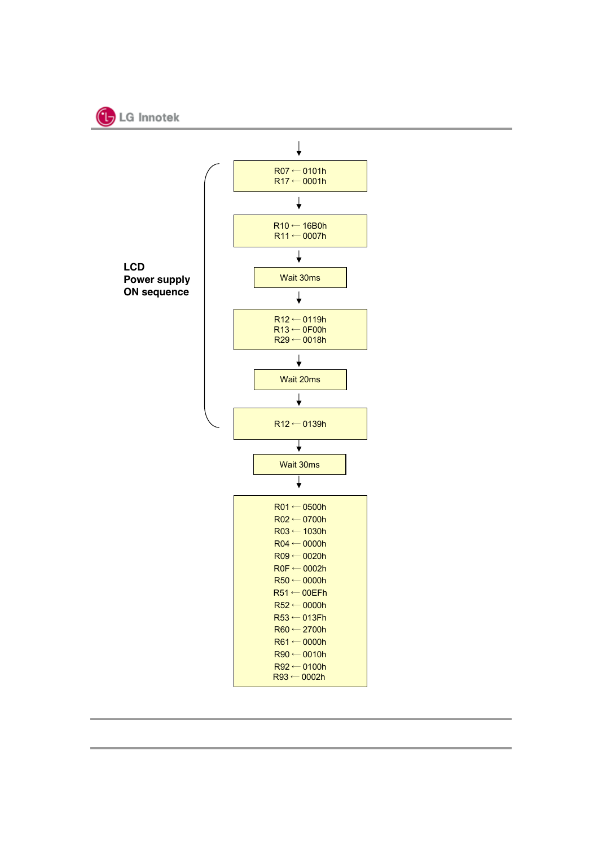

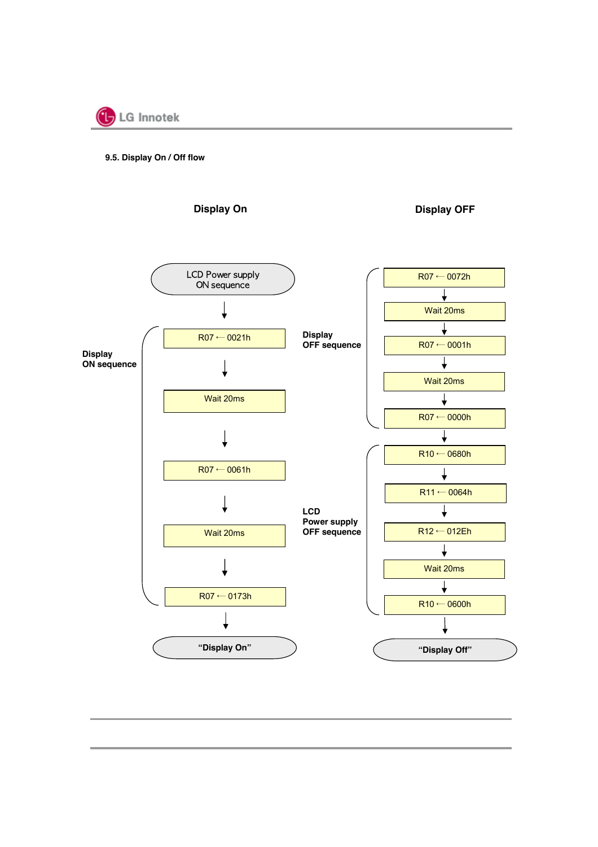

#### **9.5. Display On / Off flow**

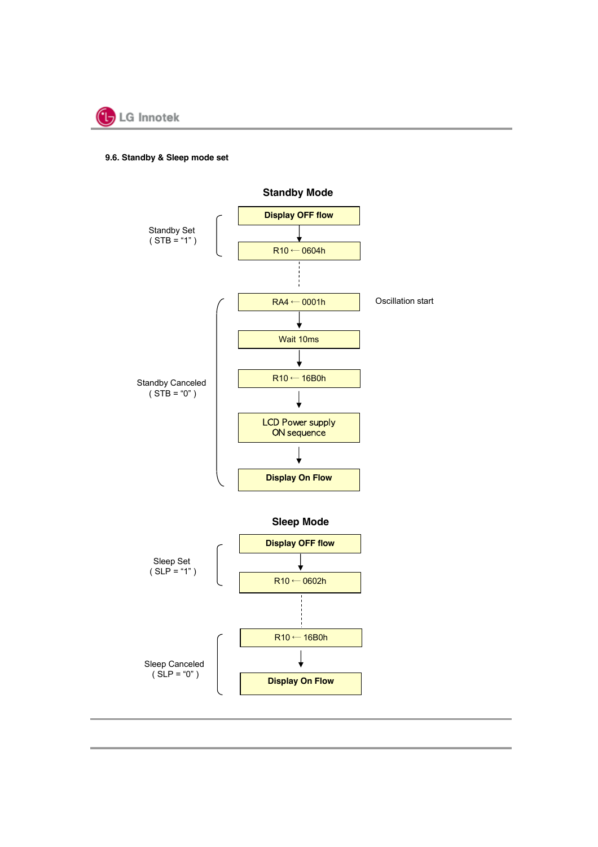

#### **9.6. Standby & Sleep mode set**

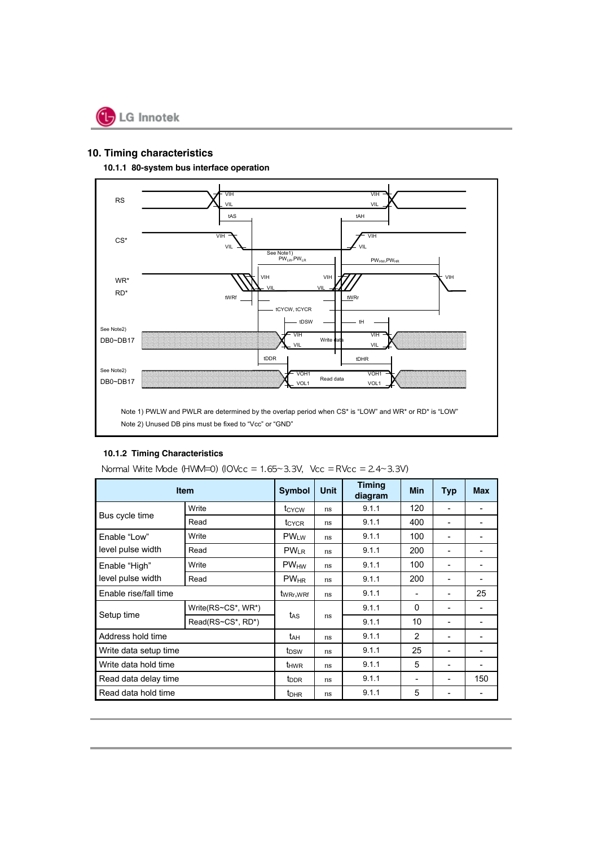

## **10. Timing characteristics**

#### **10.1.1 80-system bus interface operation**



#### **10.1.2 Timing Characteristics**

|                       | <b>Item</b>        | <b>Symbol</b>                     | <b>Unit</b> | <b>Timing</b><br>diagram | <b>Min</b>   | <b>Typ</b> | <b>Max</b> |
|-----------------------|--------------------|-----------------------------------|-------------|--------------------------|--------------|------------|------------|
|                       | Write              | t <sub>CYCW</sub>                 | ns          | 9.1.1                    | 120          | ۰          |            |
| Bus cycle time        | Read               | t <sub>CYCR</sub>                 | ns          | 9.1.1                    | 400          |            |            |
| Enable "Low"          | Write              | $PW_{LW}$                         | ns          | 9.1.1                    | 100          | ۰          |            |
| level pulse width     | Read               | $PW_{LR}$                         | ns          | 9.1.1                    | 200          | -          |            |
| Enable "High"         | Write              | <b>PW<sub>HW</sub></b>            | ns          | 9.1.1                    | 100          | ۰          |            |
| level pulse width     | Read               | $PW_{HR}$                         | ns          | 9.1.1                    | 200          | -          |            |
| Enable rise/fall time |                    | t <sub>WRr</sub> ,w <sub>Rf</sub> | ns          | 9.1.1                    | ۰            | ۰          | 25         |
|                       | Write(RS~CS*, WR*) |                                   | ns          | 9.1.1                    | 0            | ۰          |            |
| Setup time            | Read(RS~CS*, RD*)  | t <sub>AS</sub>                   |             | 9.1.1                    | 10           |            |            |
| Address hold time     |                    | tдн                               | ns          | 9.1.1                    | $\mathbf{2}$ | -          |            |
| Write data setup time |                    | t <sub>DSW</sub>                  | ns          | 9.1.1                    | 25           | ۰          |            |
| Write data hold time  |                    | <b>t</b> <sub>HWR</sub>           | ns          | 9.1.1                    | 5            | -          |            |
| Read data delay time  |                    | t <sub>DDR</sub>                  | ns          | 9.1.1                    |              | -          | 150        |
| Read data hold time   |                    | t <sub>DHR</sub>                  | ns          | 9.1.1                    | 5            | -          |            |

Normal Write Mode  $(HWM=0)$  (IOVcc = 1.65~3.3V, Vcc = RVcc = 2.4~3.3V)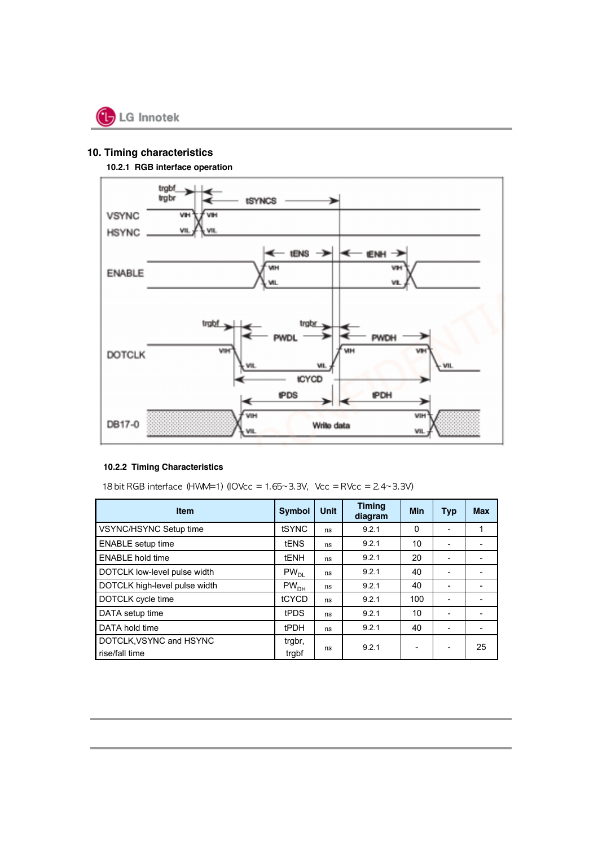

## **10. Timing characteristics**

**10.2.1 RGB interface operation**



#### **10.2.2 Timing Characteristics**

18 bit RGB interface  $(HWM=1)$  (IOVcc = 1.65~3.3V, Vcc = RVcc = 2.4~3.3V)

| <b>Item</b>                   | <b>Symbol</b>                                    | Unit | <b>Timing</b><br>diagram | <b>Min</b> | <b>Typ</b> | <b>Max</b> |
|-------------------------------|--------------------------------------------------|------|--------------------------|------------|------------|------------|
| VSYNC/HSYNC Setup time        | tSYNC                                            | ns   | 9.2.1                    | $\Omega$   |            |            |
| <b>ENABLE</b> setup time      | <b>tENS</b>                                      | ns   | 9.2.1                    | 10         |            |            |
| <b>ENABLE hold time</b>       | <b>tENH</b>                                      | ns   | 9.2.1                    | 20         |            |            |
| DOTCLK low-level pulse width  | $PW_{DL}$                                        | ns   | 9.2.1                    | 40         |            |            |
| DOTCLK high-level pulse width | $\mathsf{PW}_{\mathsf{D}\underline{\mathsf{H}}}$ | ns   | 9.2.1                    | 40         |            |            |
| DOTCLK cycle time             | tCYCD                                            | ns   | 9.2.1                    | 100        |            |            |
| DATA setup time               | tPDS                                             | ns   | 9.2.1                    | 10         |            |            |
| DATA hold time                | <b>tPDH</b>                                      | ns   | 9.2.1                    | 40         |            |            |
| DOTCLK, VSYNC and HSYNC       | trgbr,                                           |      | 9.2.1                    |            |            | 25         |
| rise/fall time                | trabf                                            | ns   |                          |            |            |            |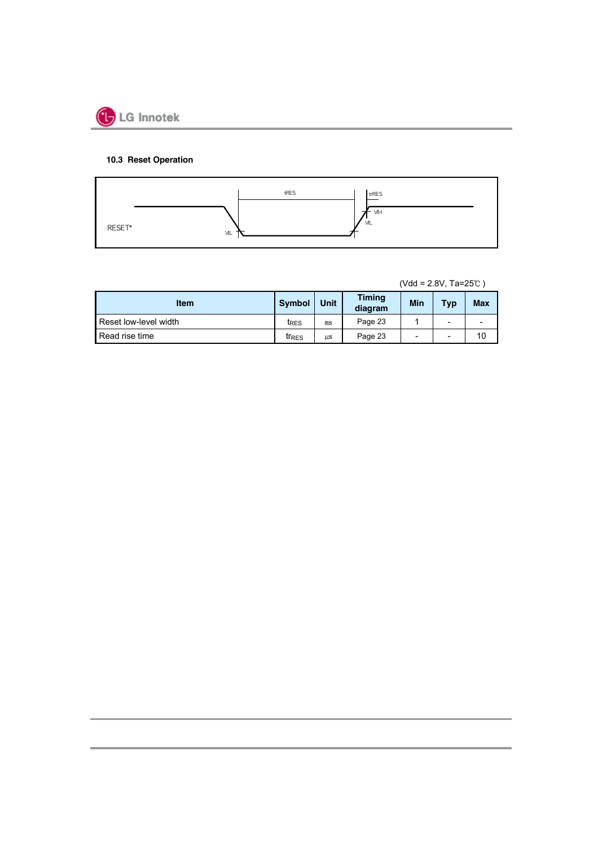

## **10.3 Reset Operation**



(Vdd = 2.8V, Ta=25℃ )

| <b>Item</b>           | <b>Symbol</b>     | Unit    | <b>Timing</b><br>diagram | Min | <b>Typ</b>               | <b>Max</b> |
|-----------------------|-------------------|---------|--------------------------|-----|--------------------------|------------|
| Reset low-level width | t <sub>RES</sub>  | ms      | Page 23                  |     | -                        |            |
| Read rise time        | tr <sub>RES</sub> | $\mu$ s | Page 23                  | -   | $\overline{\phantom{0}}$ | 10         |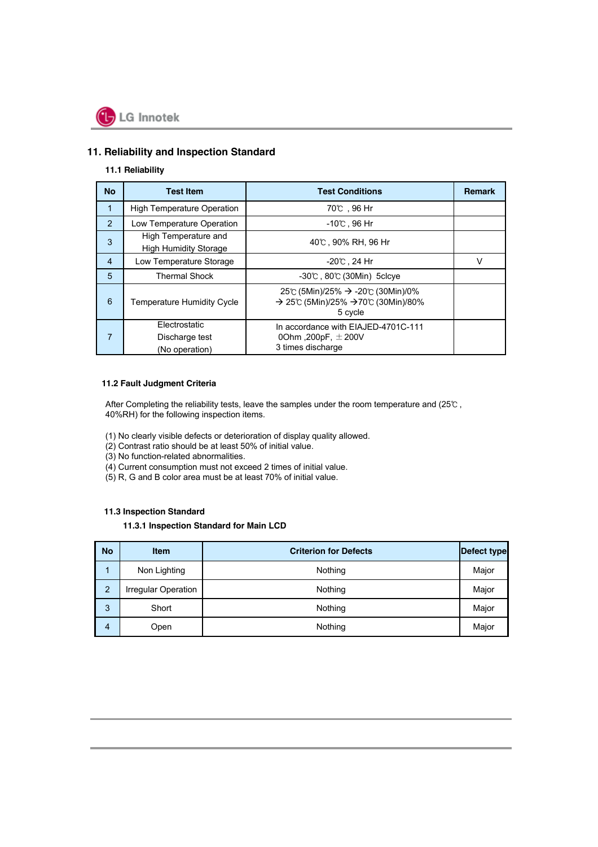

## **11. Reliability and Inspection Standard**

#### **11.1 Reliability**

| <b>No</b>      | <b>Test Item</b>                                     | <b>Test Conditions</b>                                                              | <b>Remark</b> |
|----------------|------------------------------------------------------|-------------------------------------------------------------------------------------|---------------|
| 1              | <b>High Temperature Operation</b>                    | 70℃,96 Hr                                                                           |               |
| $\overline{2}$ | Low Temperature Operation                            | $-10^{\circ}$ , 96 Hr                                                               |               |
| 3              | High Temperature and<br><b>High Humidity Storage</b> | 40℃, 90% RH, 96 Hr                                                                  |               |
| 4              | Low Temperature Storage                              | -20℃ . 24 Hr                                                                        | v             |
| 5              | <b>Thermal Shock</b>                                 | $-30$ °C, $80$ °C (30Min) 5 clcve                                                   |               |
| 6              | <b>Temperature Humidity Cycle</b>                    | 25℃ (5Min)/25% → -20℃ (30Min)/0%<br>→ 25°C (5Min)/25% → 70°C (30Min)/80%<br>5 cycle |               |
| 7              | Electrostatic<br>Discharge test<br>(No operation)    | In accordance with EIAJED-4701C-111<br>00hm, 200pF, $\pm$ 200V<br>3 times discharge |               |

#### **11.2 Fault Judgment Criteria**

After Completing the reliability tests, leave the samples under the room temperature and (25℃ , 40%RH) for the following inspection items.

- (1) No clearly visible defects or deterioration of display quality allowed.
- (2) Contrast ratio should be at least 50% of initial value.
- (3) No function-related abnormalities.
- (4) Current consumption must not exceed 2 times of initial value.
- (5) R, G and B color area must be at least 70% of initial value.

#### **11.3 Inspection Standard**

#### **11.3.1 Inspection Standard for Main LCD**

| <b>No</b>      | <b>Item</b>         | <b>Criterion for Defects</b> | <b>Defect type</b> |
|----------------|---------------------|------------------------------|--------------------|
|                | Non Lighting        | Nothing                      | Major              |
| $\overline{2}$ | Irregular Operation | Nothing                      | Major              |
| 3              | Short               | Nothing                      | Major              |
| 4              | Open                | Nothing                      | Major              |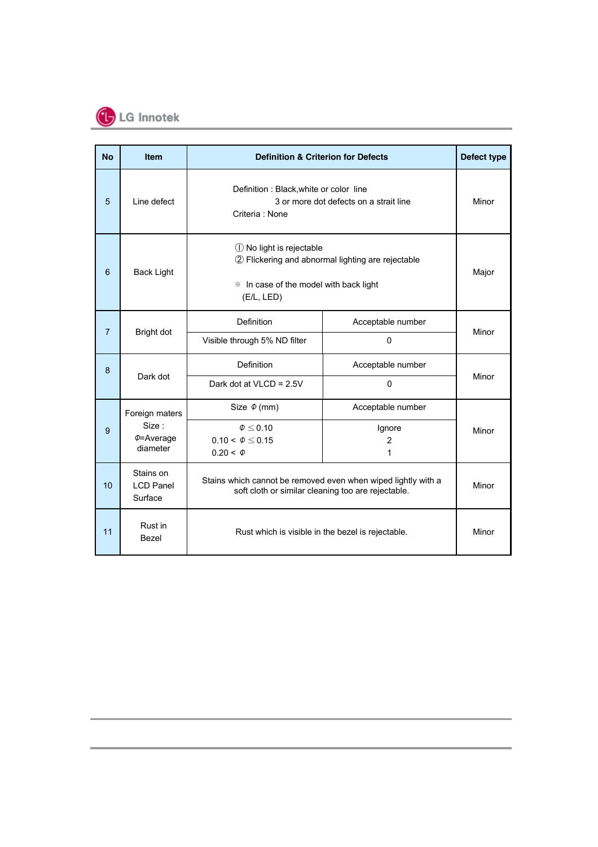

| <b>No</b>      | <b>Item</b>                              | <b>Definition &amp; Criterion for Defects</b>                                                                                         |                          | Defect type |
|----------------|------------------------------------------|---------------------------------------------------------------------------------------------------------------------------------------|--------------------------|-------------|
| 5              | Line defect                              | Definition : Black, white or color line<br>3 or more dot defects on a strait line<br>Criteria: None                                   | Minor                    |             |
| 6              | <b>Back Light</b>                        | 1 No light is rejectable<br>2 Flickering and abnormal lighting are rejectable<br>* In case of the model with back light<br>(E/L, LED) | Major                    |             |
| $\overline{7}$ | Bright dot                               | Definition                                                                                                                            | Acceptable number        | Minor       |
|                |                                          | Visible through 5% ND filter                                                                                                          | $\mathbf 0$              |             |
| 8              | Dark dot                                 | <b>Definition</b>                                                                                                                     | Acceptable number        | Minor       |
|                |                                          | Dark dot at VLCD = 2.5V                                                                                                               | $\mathbf 0$              |             |
|                | Foreign maters                           | Size $\Phi$ (mm)                                                                                                                      | Acceptable number        |             |
| 9              | Size:<br>$\phi$ =Average                 | $\varphi \leq 0.10$<br>$0.10 < \Phi \leq 0.15$                                                                                        | Ignore<br>$\overline{2}$ | Minor       |
|                | diameter                                 | $0.20 < \Phi$                                                                                                                         | 1                        |             |
| 10             | Stains on<br><b>LCD Panel</b><br>Surface | Stains which cannot be removed even when wiped lightly with a<br>soft cloth or similar cleaning too are rejectable.                   | Minor                    |             |
| 11             | Rust in<br>Bezel                         | Rust which is visible in the bezel is rejectable.                                                                                     | Minor                    |             |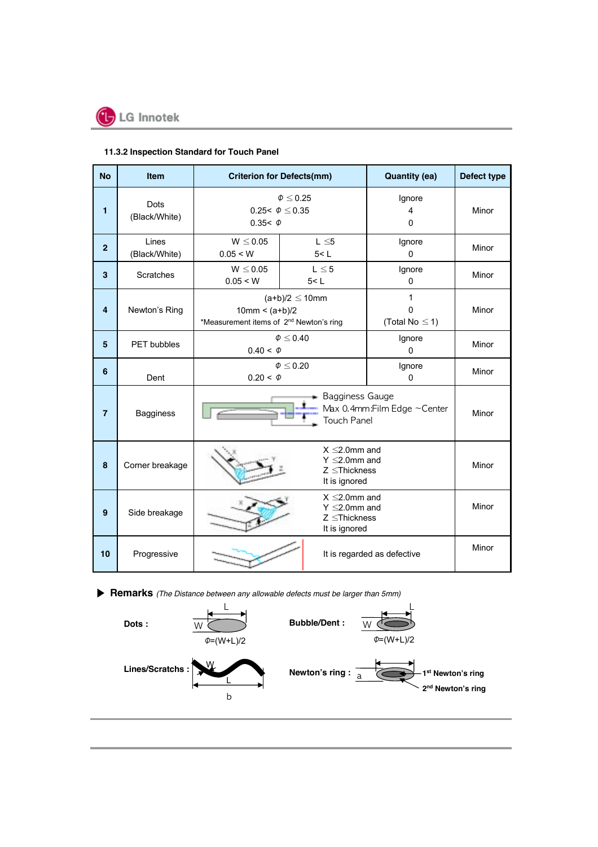

## **11.3.2 Inspection Standard for Touch Panel**

| <b>No</b>      | Item                         | <b>Criterion for Defects(mm)</b>                                        |                                                                                   | <b>Quantity (ea)</b>                 | Defect type |  |  |
|----------------|------------------------------|-------------------------------------------------------------------------|-----------------------------------------------------------------------------------|--------------------------------------|-------------|--|--|
| 1              | <b>Dots</b><br>(Black/White) | 0.25< $\Phi \le 0.35$<br>0.35< $\phi$                                   | $\Phi \leq 0.25$                                                                  | Ignore<br>4<br>$\Omega$              | Minor       |  |  |
| $\overline{2}$ | Lines<br>(Black/White)       | $W \le 0.05$<br>0.05 < W                                                | $L \leq 5$<br>5 < L                                                               | Ignore<br>$\mathbf 0$                | Minor       |  |  |
| 3              | Scratches                    | $W \leq 0.05$<br>0.05 < W                                               | $L \leq 5$<br>5 < L                                                               | Ignore<br>$\Omega$                   | Minor       |  |  |
| 4              | Newton's Ring                | $10mm < (a+b)/2$<br>*Measurement items of 2 <sup>nd</sup> Newton's ring | $(a+b)/2 \leq 10$ mm                                                              | 1<br>$\Omega$<br>(Total No $\leq$ 1) | Minor       |  |  |
| 5              | <b>PET</b> bubbles           | $0.40 < \Phi$                                                           | $\varphi \leq 0.40$                                                               | Ignore<br>$\mathbf 0$                | Minor       |  |  |
| 6              | Dent                         | $0.20 < \Phi$                                                           | $\varphi \leq 0.20$                                                               | Ignore<br>$\mathbf{0}$               | Minor       |  |  |
| $\overline{7}$ | <b>Bagginess</b>             |                                                                         | - Bagginess Gauge<br>Max 0.4mm: Film Edge ~ Center<br>Touch Panel                 |                                      |             |  |  |
| 8              | Corner breakage              |                                                                         | Minor                                                                             |                                      |             |  |  |
| 9              | Side breakage                |                                                                         | $X \leq 2.0$ mm and<br>$Y \leq 2.0$ mm and<br>$Z \leq$ Thickness<br>It is ignored |                                      | Minor       |  |  |
| 10             | Progressive                  |                                                                         |                                                                                   | It is regarded as defective          | Minor       |  |  |

▶ **Remarks** *(The Distance between any allowable defects must be larger than 5mm)*

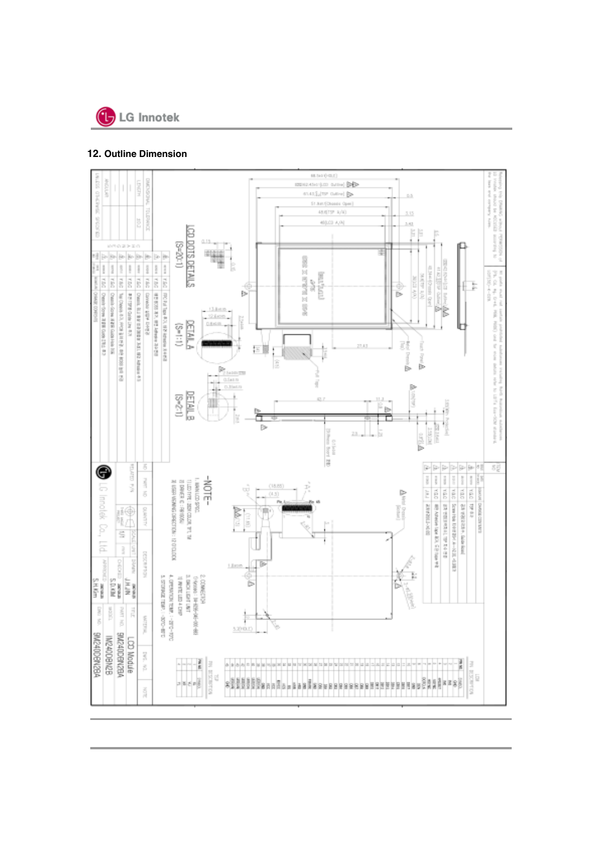

## **12. Outline Dimension**

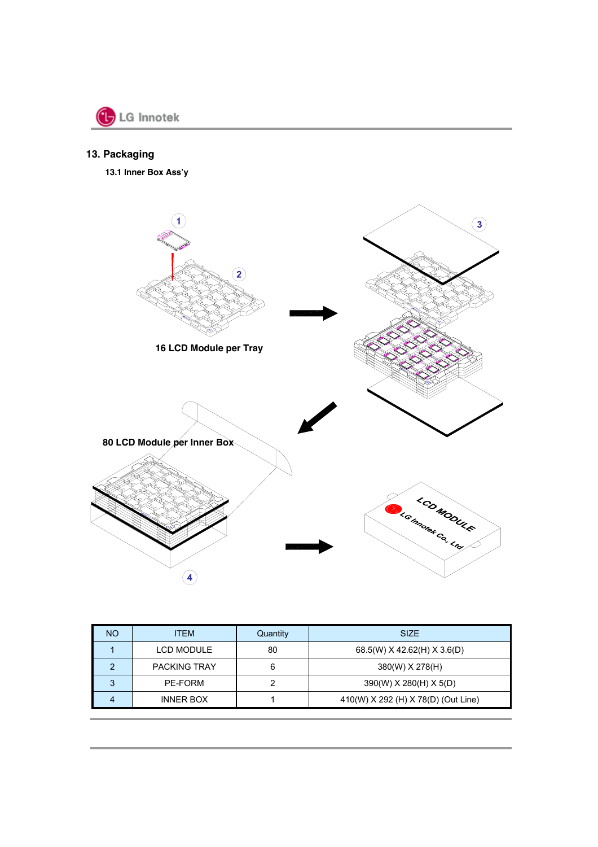

## **13. Packaging**

**13.1 Inner Box Ass'y**



| <b>NO</b> | <b>ITEM</b>         | Quantity | <b>SIZE</b>                         |
|-----------|---------------------|----------|-------------------------------------|
|           | LCD MODULE          | 80       | 68.5(W) X 42.62(H) X 3.6(D)         |
|           | <b>PACKING TRAY</b> | 6        | 380(W) X 278(H)                     |
| 3         | PE-FORM             |          | 390(W) X 280(H) X 5(D)              |
|           | <b>INNER BOX</b>    |          | 410(W) X 292 (H) X 78(D) (Out Line) |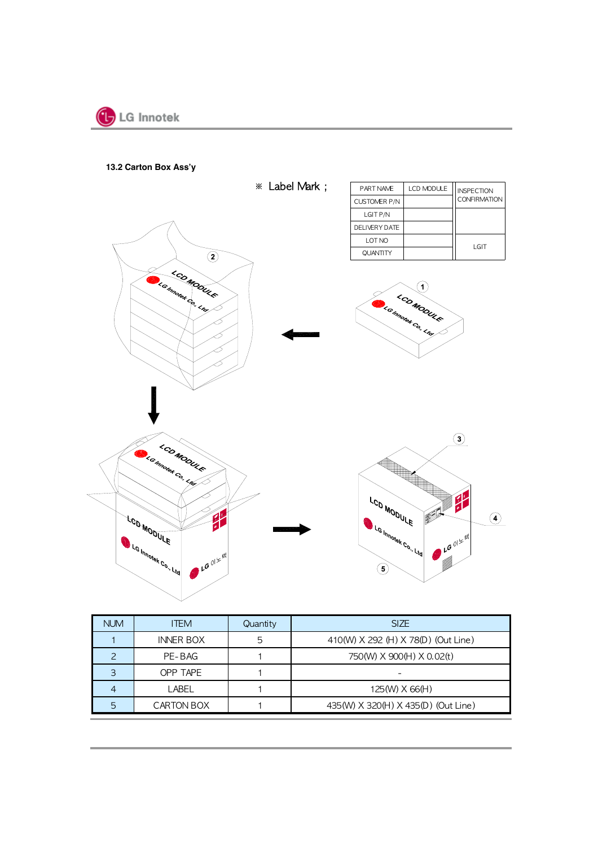

**13.2 Carton Box Ass'y**



| <b>NUM</b> | <b>ITEM</b>      | Quantity | <b>SIZE</b>                         |
|------------|------------------|----------|-------------------------------------|
|            | <b>INNER BOX</b> | 5        | 410(W) X 292 (H) X 78(D) (Out Line) |
|            | PE-BAG           |          | 750(W) X 900(H) X 0.02(t)           |
|            | OPP TAPE         |          |                                     |
|            | LABEL            |          | 125(W) X 66(H)                      |
| 5          | CARTON BOX       |          | 435(W) X 320(H) X 435(D) (Out Line) |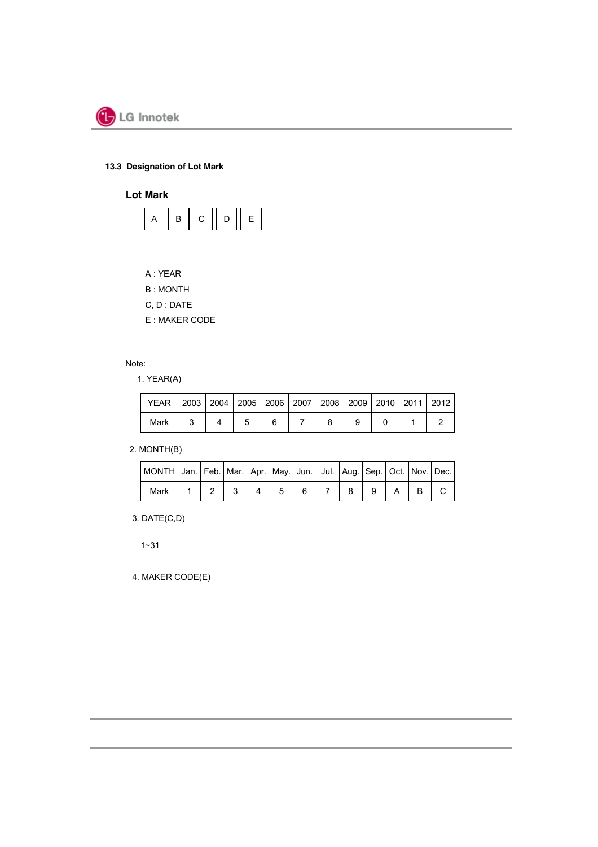

## **13.3 Designation of Lot Mark**

**Lot Mark**



- A : YEAR
- B : MONTH
- C, D : DATE
- E : MAKER CODE

Note:

1. YEAR(A)

| YEAR   2003   2004   2005   2006   2007   2008   2009   2010   2011   2012 |  |  |  |  |  |
|----------------------------------------------------------------------------|--|--|--|--|--|
| Mark                                                                       |  |  |  |  |  |

### 2. MONTH(B)

| MONTH Jan. Feb.   Mar.   Apr.   May.   Jun.   Jul.   Aug.   Sep.   Oct.   Nov.   Dec. |  |  |         |  |       |  |  |
|---------------------------------------------------------------------------------------|--|--|---------|--|-------|--|--|
| Mark                                                                                  |  |  | $23456$ |  | 789A5 |  |  |

3. DATE(C,D)

1~31

4. MAKER CODE(E)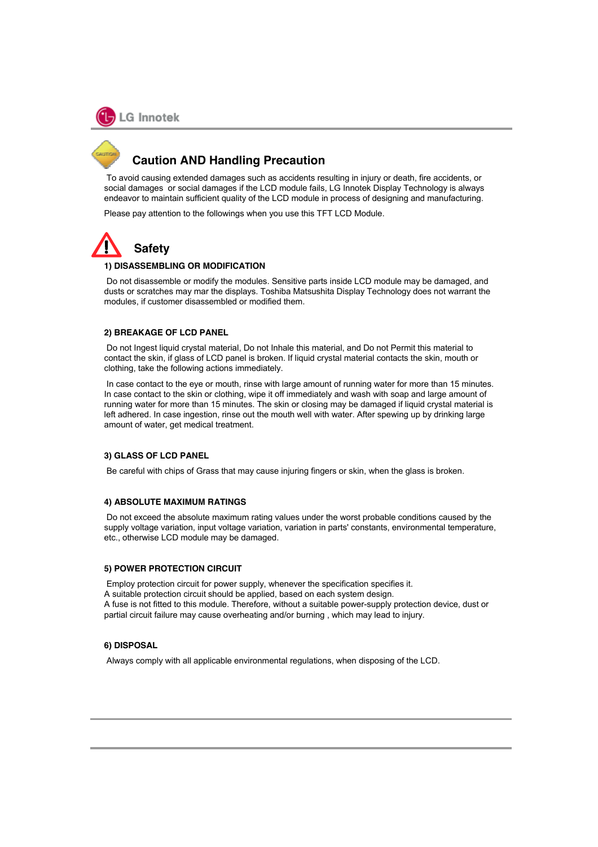

## **Caution AND Handling Precaution**

To avoid causing extended damages such as accidents resulting in injury or death, fire accidents, or social damages or social damages if the LCD module fails, LG Innotek Display Technology is always endeavor to maintain sufficient quality of the LCD module in process of designing and manufacturing.

Please pay attention to the followings when you use this TFT LCD Module.



#### **1) DISASSEMBLING OR MODIFICATION**

Do not disassemble or modify the modules. Sensitive parts inside LCD module may be damaged, and dusts or scratches may mar the displays. Toshiba Matsushita Display Technology does not warrant the modules, if customer disassembled or modified them.

#### **2) BREAKAGE OF LCD PANEL**

Do not Ingest liquid crystal material, Do not Inhale this material, and Do not Permit this material to contact the skin, if glass of LCD panel is broken. If liquid crystal material contacts the skin, mouth or clothing, take the following actions immediately.

In case contact to the eye or mouth, rinse with large amount of running water for more than 15 minutes. In case contact to the skin or clothing, wipe it off immediately and wash with soap and large amount of running water for more than 15 minutes. The skin or closing may be damaged if liquid crystal material is left adhered. In case ingestion, rinse out the mouth well with water. After spewing up by drinking large amount of water, get medical treatment.

#### **3) GLASS OF LCD PANEL**

Be careful with chips of Grass that may cause injuring fingers or skin, when the glass is broken.

#### **4) ABSOLUTE MAXIMUM RATINGS**

Do not exceed the absolute maximum rating values under the worst probable conditions caused by the supply voltage variation, input voltage variation, variation in parts' constants, environmental temperature, etc., otherwise LCD module may be damaged.

#### **5) POWER PROTECTION CIRCUIT**

Employ protection circuit for power supply, whenever the specification specifies it.

A suitable protection circuit should be applied, based on each system design.

A fuse is not fitted to this module. Therefore, without a suitable power-supply protection device, dust or partial circuit failure may cause overheating and/or burning , which may lead to injury.

#### **6) DISPOSAL**

Always comply with all applicable environmental regulations, when disposing of the LCD.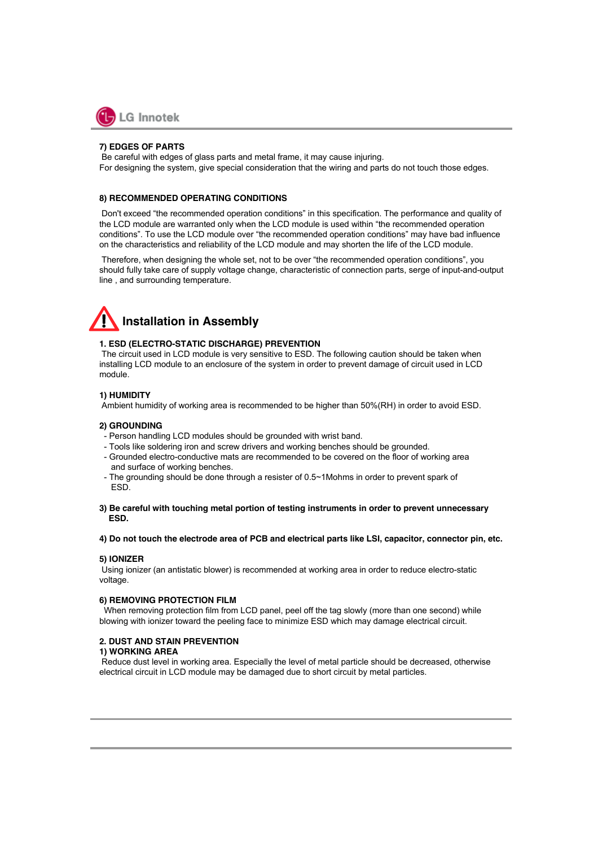

#### **7) EDGES OF PARTS**

Be careful with edges of glass parts and metal frame, it may cause injuring. For designing the system, give special consideration that the wiring and parts do not touch those edges.

#### **8) RECOMMENDED OPERATING CONDITIONS**

Don't exceed "the recommended operation conditions" in this specification. The performance and quality of the LCD module are warranted only when the LCD module is used within "the recommended operation conditions". To use the LCD module over "the recommended operation conditions" may have bad influence on the characteristics and reliability of the LCD module and may shorten the life of the LCD module.

Therefore, when designing the whole set, not to be over "the recommended operation conditions", you should fully take care of supply voltage change, characteristic of connection parts, serge of input-and-output line , and surrounding temperature.

# **Installation in Assembly**

#### **1. ESD (ELECTRO-STATIC DISCHARGE) PREVENTION**

The circuit used in LCD module is very sensitive to ESD. The following caution should be taken when installing LCD module to an enclosure of the system in order to prevent damage of circuit used in LCD module.

#### **1) HUMIDITY**

Ambient humidity of working area is recommended to be higher than 50%(RH) in order to avoid ESD.

#### **2) GROUNDING**

- Person handling LCD modules should be grounded with wrist band.
- Tools like soldering iron and screw drivers and working benches should be grounded.
- Grounded electro-conductive mats are recommended to be covered on the floor of working area and surface of working benches.
- The grounding should be done through a resister of 0.5~1Mohms in order to prevent spark of ESD.
- **3) Be careful with touching metal portion of testing instruments in order to prevent unnecessary ESD.**

#### **4) Do not touch the electrode area of PCB and electrical parts like LSI, capacitor, connector pin, etc.**

#### **5) IONIZER**

Using ionizer (an antistatic blower) is recommended at working area in order to reduce electro-static voltage.

#### **6) REMOVING PROTECTION FILM**

When removing protection film from LCD panel, peel off the tag slowly (more than one second) while blowing with ionizer toward the peeling face to minimize ESD which may damage electrical circuit.

#### **2. DUST AND STAIN PREVENTION**

#### **1) WORKING AREA**

Reduce dust level in working area. Especially the level of metal particle should be decreased, otherwise electrical circuit in LCD module may be damaged due to short circuit by metal particles.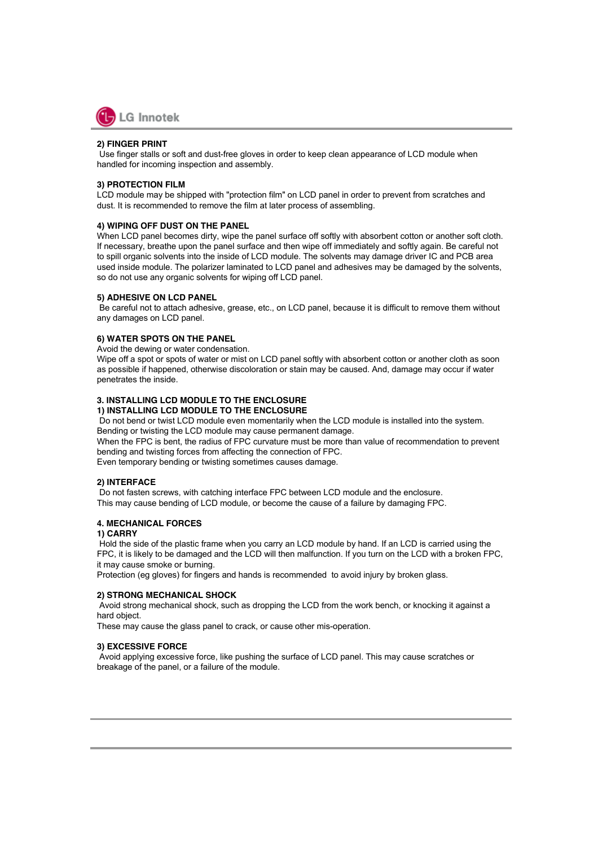

#### **2) FINGER PRINT**

Use finger stalls or soft and dust-free gloves in order to keep clean appearance of LCD module when handled for incoming inspection and assembly.

#### **3) PROTECTION FILM**

LCD module may be shipped with "protection film" on LCD panel in order to prevent from scratches and dust. It is recommended to remove the film at later process of assembling.

#### **4) WIPING OFF DUST ON THE PANEL**

When LCD panel becomes dirty, wipe the panel surface off softly with absorbent cotton or another soft cloth. If necessary, breathe upon the panel surface and then wipe off immediately and softly again. Be careful not to spill organic solvents into the inside of LCD module. The solvents may damage driver IC and PCB area used inside module. The polarizer laminated to LCD panel and adhesives may be damaged by the solvents, so do not use any organic solvents for wiping off LCD panel.

#### **5) ADHESIVE ON LCD PANEL**

Be careful not to attach adhesive, grease, etc., on LCD panel, because it is difficult to remove them without any damages on LCD panel.

#### **6) WATER SPOTS ON THE PANEL**

Avoid the dewing or water condensation.

Wipe off a spot or spots of water or mist on LCD panel softly with absorbent cotton or another cloth as soon as possible if happened, otherwise discoloration or stain may be caused. And, damage may occur if water penetrates the inside.

#### **3. INSTALLING LCD MODULE TO THE ENCLOSURE 1) INSTALLING LCD MODULE TO THE ENCLOSURE**

Do not bend or twist LCD module even momentarily when the LCD module is installed into the system. Bending or twisting the LCD module may cause permanent damage.

When the FPC is bent, the radius of FPC curvature must be more than value of recommendation to prevent bending and twisting forces from affecting the connection of FPC.

Even temporary bending or twisting sometimes causes damage.

#### **2) INTERFACE**

Do not fasten screws, with catching interface FPC between LCD module and the enclosure. This may cause bending of LCD module, or become the cause of a failure by damaging FPC.

#### **4. MECHANICAL FORCES**

#### **1) CARRY**

Hold the side of the plastic frame when you carry an LCD module by hand. If an LCD is carried using the FPC, it is likely to be damaged and the LCD will then malfunction. If you turn on the LCD with a broken FPC, it may cause smoke or burning.

Protection (eg gloves) for fingers and hands is recommended to avoid injury by broken glass.

#### **2) STRONG MECHANICAL SHOCK**

Avoid strong mechanical shock, such as dropping the LCD from the work bench, or knocking it against a hard object.

These may cause the glass panel to crack, or cause other mis-operation.

#### **3) EXCESSIVE FORCE**

Avoid applying excessive force, like pushing the surface of LCD panel. This may cause scratches or breakage of the panel, or a failure of the module.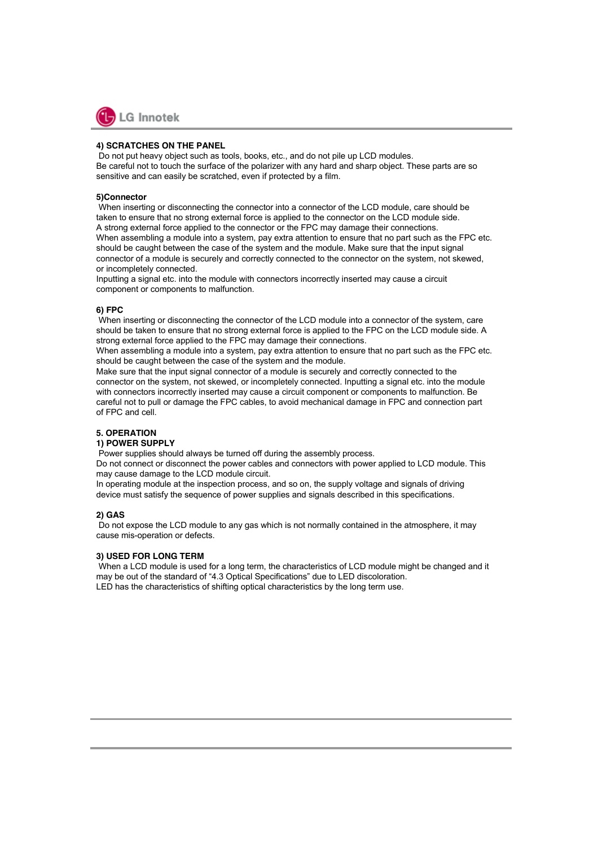

#### **4) SCRATCHES ON THE PANEL**

Do not put heavy object such as tools, books, etc., and do not pile up LCD modules. Be careful not to touch the surface of the polarizer with any hard and sharp object. These parts are so sensitive and can easily be scratched, even if protected by a film.

#### **5)Connector**

When inserting or disconnecting the connector into a connector of the LCD module, care should be taken to ensure that no strong external force is applied to the connector on the LCD module side. A strong external force applied to the connector or the FPC may damage their connections.

When assembling a module into a system, pay extra attention to ensure that no part such as the FPC etc. should be caught between the case of the system and the module. Make sure that the input signal connector of a module is securely and correctly connected to the connector on the system, not skewed, or incompletely connected.

Inputting a signal etc. into the module with connectors incorrectly inserted may cause a circuit component or components to malfunction.

#### **6) FPC**

When inserting or disconnecting the connector of the LCD module into a connector of the system, care should be taken to ensure that no strong external force is applied to the FPC on the LCD module side. A strong external force applied to the FPC may damage their connections.

When assembling a module into a system, pay extra attention to ensure that no part such as the FPC etc. should be caught between the case of the system and the module.

Make sure that the input signal connector of a module is securely and correctly connected to the connector on the system, not skewed, or incompletely connected. Inputting a signal etc. into the module with connectors incorrectly inserted may cause a circuit component or components to malfunction. Be careful not to pull or damage the FPC cables, to avoid mechanical damage in FPC and connection part of FPC and cell.

#### **5. OPERATION**

#### **1) POWER SUPPLY**

Power supplies should always be turned off during the assembly process.

Do not connect or disconnect the power cables and connectors with power applied to LCD module. This may cause damage to the LCD module circuit.

In operating module at the inspection process, and so on, the supply voltage and signals of driving device must satisfy the sequence of power supplies and signals described in this specifications.

#### **2) GAS**

Do not expose the LCD module to any gas which is not normally contained in the atmosphere, it may cause mis-operation or defects.

#### **3) USED FOR LONG TERM**

When a LCD module is used for a long term, the characteristics of LCD module might be changed and it may be out of the standard of "4.3 Optical Specifications" due to LED discoloration. LED has the characteristics of shifting optical characteristics by the long term use.